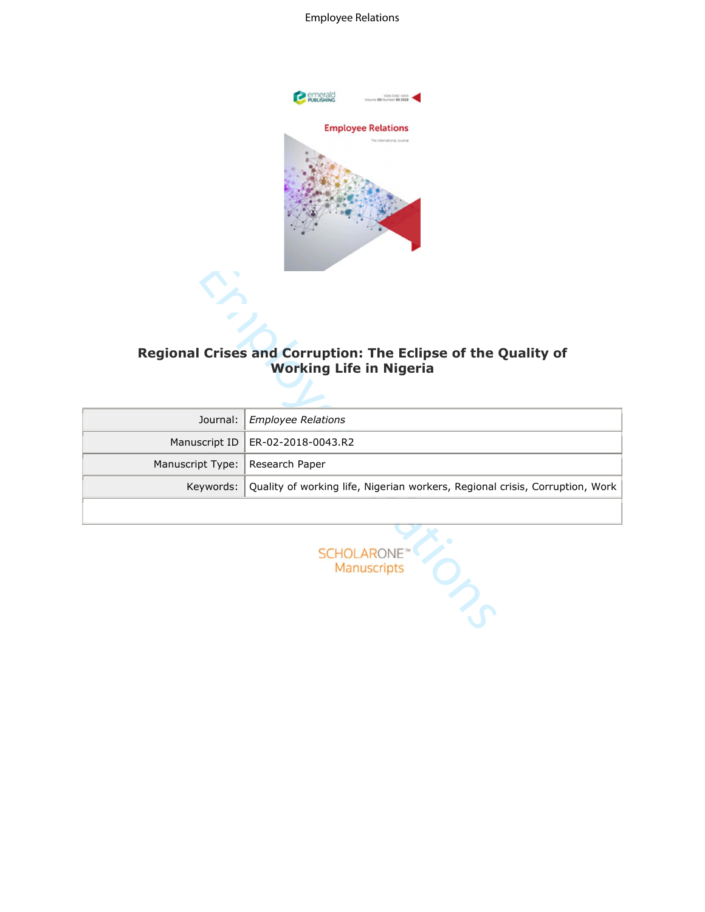# Employee Relations



# Regional Crises and Corruption: The Eclipse of the Quality of **Working Life in Nigeria**

|                  | Regional Crises and Corruption: The Eclipse of the Quality of<br><b>Working Life in Nigeria</b> |
|------------------|-------------------------------------------------------------------------------------------------|
| Journal:         | <b>Employee Relations</b>                                                                       |
| Manuscript ID    | ER-02-2018-0043.R2                                                                              |
| Manuscript Type: | Research Paper                                                                                  |
| Keywords:        | Quality of working life, Nigerian workers, Regional crisis, Corruption, Work                    |
|                  | <b>SCHOLARONE</b><br>Manuscripts                                                                |

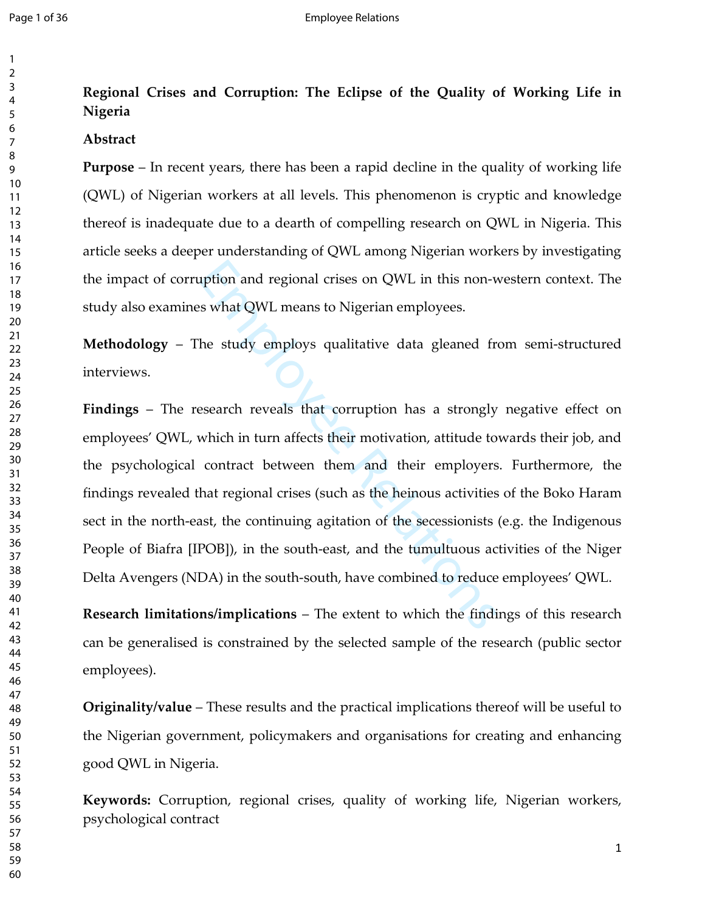**Regional Crises and Corruption: The Eclipse of the Quality of Working Life in Nigeria** 

## **Abstract**

**Purpose** – In recent years, there has been a rapid decline in the quality of working life (QWL) of Nigerian workers at all levels. This phenomenon is cryptic and knowledge thereof is inadequate due to a dearth of compelling research on QWL in Nigeria. This article seeks a deeper understanding of QWL among Nigerian workers by investigating the impact of corruption and regional crises on QWL in this non-western context. The study also examines what QWL means to Nigerian employees.

**Methodology** – The study employs qualitative data gleaned from semi-structured interviews.

uption and regional crises on QWL in this non-v<br>s what QWL means to Nigerian employees.<br>he study employs qualitative data gleaned fr<br>search reveals that corruption has a strongly<br>which in turn affects their motivation, att **Findings** – The research reveals that corruption has a strongly negative effect on employees' QWL, which in turn affects their motivation, attitude towards their job, and the psychological contract between them and their employers. Furthermore, the findings revealed that regional crises (such as the heinous activities of the Boko Haram sect in the north-east, the continuing agitation of the secessionists (e.g. the Indigenous People of Biafra [IPOB]), in the south-east, and the tumultuous activities of the Niger Delta Avengers (NDA) in the south-south, have combined to reduce employees' QWL.

**Research limitations/implications** – The extent to which the findings of this research can be generalised is constrained by the selected sample of the research (public sector employees).

**Originality/value** – These results and the practical implications thereof will be useful to the Nigerian government, policymakers and organisations for creating and enhancing good QWL in Nigeria.

**Keywords:**  Corruption, regional crises, quality of working life, Nigerian workers, psychological contract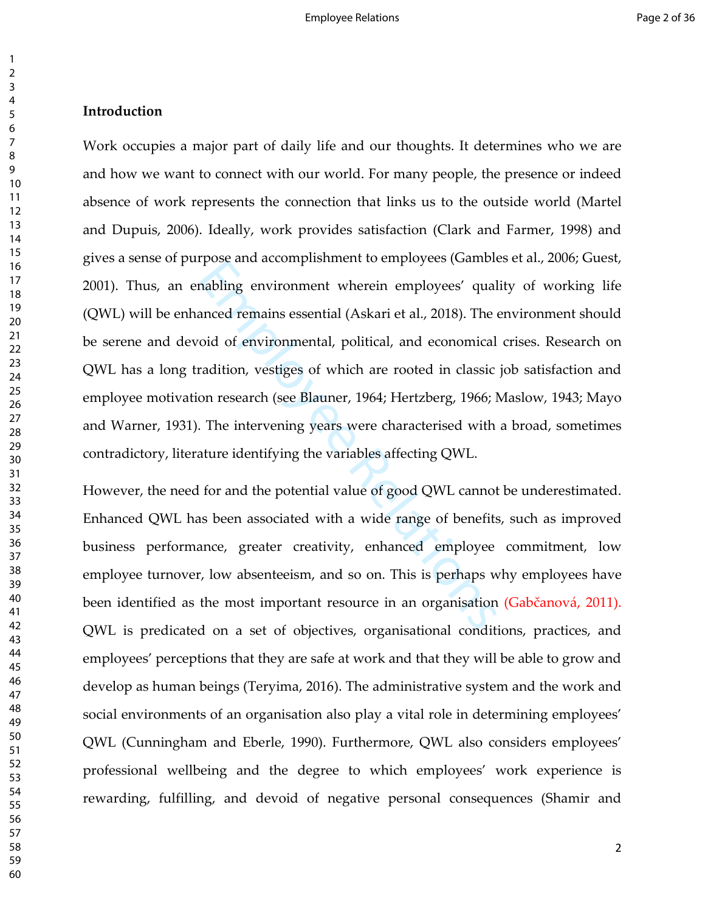### **Introduction**

mabling environment wherein employees (clameral)<br>anced remains essential (Askari et al., 2018). The oid of environmental, political, and economical<br>radition, vestiges of which are rooted in classic<br>on research (see Blauner Work occupies a major part of daily life and our thoughts. It determines who we are and how we want to connect with our world. For many people, the presence or indeed absence of work represents the connection that links us to the outside world (Martel and Dupuis, 2006). Ideally, work provides satisfaction (Clark and Farmer, 1998) and gives a sense of purpose and accomplishment to employees (Gambles et al., 2006; Guest, 2001). Thus, an enabling environment wherein employees' quality of working life (QWL) will be enhanced remains essential (Askari et al., 2018). The environment should be serene and devoid of environmental, political, and economical crises. Research on QWL has a long tradition, vestiges of which are rooted in classic job satisfaction and employee motivation research (see Blauner, 1964; Hertzberg, 1966; Maslow, 1943; Mayo and Warner, 1931). The intervening years were characterised with a broad, sometimes contradictory, literature identifying the variables affecting QWL.

However, the need for and the potential value of good QWL cannot be underestimated. Enhanced QWL has been associated with a wide range of benefits, such as improved business performance, greater creativity, enhanced employee commitment, low employee turnover, low absenteeism, and so on. This is perhaps why employees have been identified as the most important resource in an organisation (Gabčanová, 2011). QWL is predicated on a set of objectives, organisati onal conditions, practices, and employees' perceptions that they are safe at work and that they will be able to grow and develop as human beings (Teryima, 2016). The administrative system and the work and social environments of an organisation also play a vital role in determining employees' QWL (Cunningham and Eberle, 1990). Furthermore, QWL also considers employees' professional wellbeing and the degree to which employees' work experience is rewarding, fulfilling, and devoid of negative personal consequences (Shamir and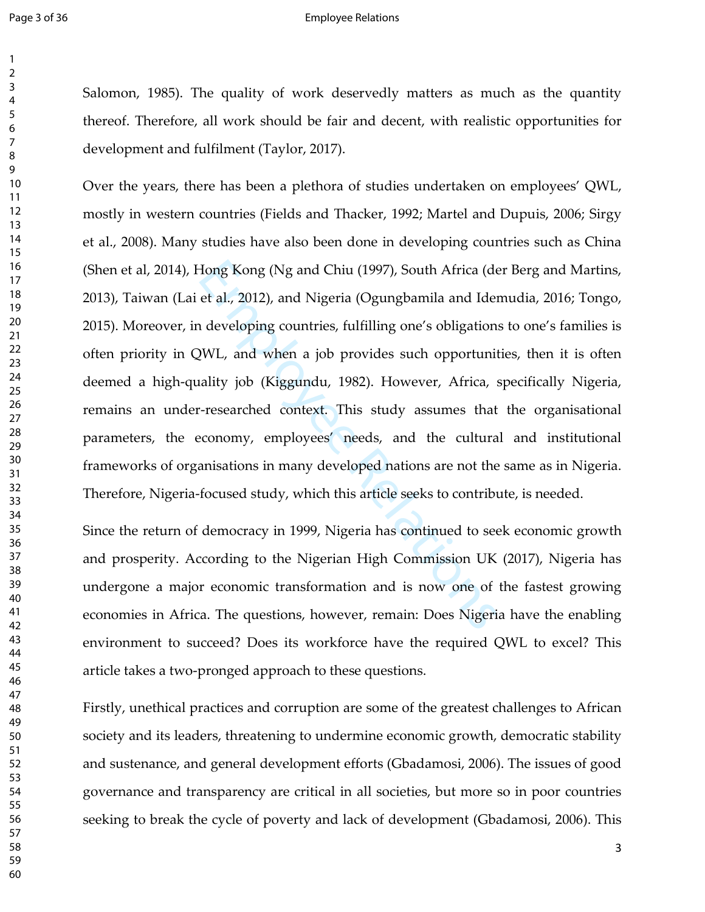### Page 3 of 36 **Employee Relations**

Salomon, 1985). The quality of work deservedly matters as much as the quantity thereof. Therefore, all work should be fair and decent, with realistic opportunities for development and fulfilment (Taylor, 2017).

Hong Kong (Ng and Chiu (1997), South Africa (de et al., 2012), and Nigeria (Ogungbamila and Iden<br>a developing countries, fulfilling one's obligation<br>WL, and when a job provides such opportunity<br>lighty job (Kiggundu, 1982). Over the years, there has been a plethora of studies undertaken on employees' QWL, mostly in western countries (Fields and Thacker, 1992; Martel and Dupuis, 2006; Sirgy et al., 2008). Many studies have also been done in developing countries such as China (Shen et al, 2014), Hong Kong (Ng and Chiu (1997), South Africa (der Berg and Martins, 2013), Taiwan (Lai et al., 2012), and Nigeria (Ogungbamila and Idemudia, 2016; Tongo, 2015). Moreover, in developing countries, fulfilling one's obligations to one's families is often priority in QWL, and when a job provides such opportunities, then it is often deemed a high-quality job (Kiggundu, 1982). However, Africa, specifically Nigeria, remains an under-researched context. This study assumes that the organisational parameters, the economy, employees' needs, and the cultural and institutional frameworks of organisations in many developed nations are not the same as in Nigeria. Therefore, Nigeria-focused study, which this article seeks to contribute, is needed.

Since the return of democracy in 1999, Nigeria has continued to seek economic growth and prosperity. According to the Nigerian High Commission UK (2017), Nigeria has undergone a major economic transformation and is now one of the fastest growing economies in Africa. The questions, however, remain: Does Nigeria have the enabling environment to succeed? Does its workforce have the required QWL to excel? This article takes a two-pronged approach to these questions.

Firstly, unethical practices and corruption are some of the greatest challenges to African society and its leaders, threatening to undermine economic growth, democratic stability and sustenance, and general development efforts (Gbadamosi, 2006). The issues of good governance and transparency are critical in all societies, but more so in poor countries seeking to break the cycle of poverty and lack of development (Gbadamosi, 2006). This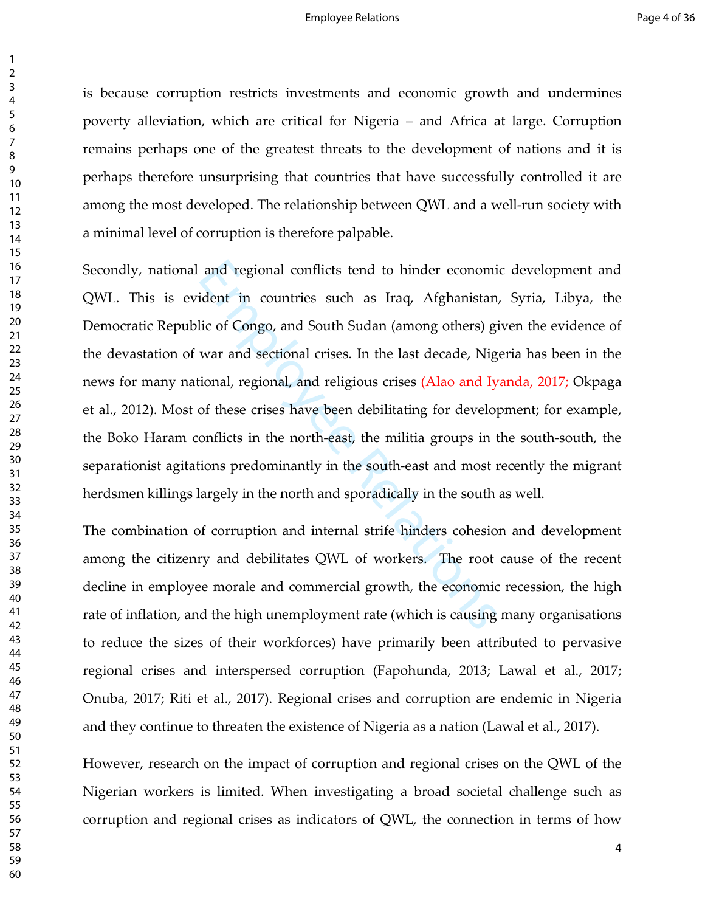is because corruption restricts investments and economic growth and undermines poverty alleviation, which are critical for Nigeria – and Africa at large. Corruption remains perhaps one of the greatest threats to the development of nations and it is perhaps therefore unsurprising that countries that have successfully controlled it are among the most developed. The relationship between QWL and a well-run society with a minimal level of corruption is therefore palpable.

and regional conflicts tend to hinder economic<br>ident in countries such as Iraq, Afghanistan<br>lic of Congo, and South Sudan (among others) gi<br>war and sectional crises. In the last decade, Nig<br>ional, regional, and religious c Secondly, national and regional conflicts tend to hinder economic development and QWL. This is evident in countries such as Iraq, Afghanistan, Syria, Libya, the Democratic Republic of Congo, and South Sudan (among others) given the evidence of the devastation of war and sectional crises. In the last decade, Nigeria has been in the news for many national, regional, and religious crises (Alao and Iyanda, 2017; Okpaga et al., 2012). Most of these crises have been debilitating for development; for example, the Boko Haram conflicts in the north-east, the militia groups in the south-south, the separationist agitations predominantly in the south-east and most recently the migrant herdsmen killings largely in the north and sporadically in the south as well.

The combination of corruption and internal strife hinders cohesion and development among the citizenry and debilitates QWL of workers. The root cause of the recent decline in employee morale and commercial growth, the economic recession, the high rate of inflation, and the high unemployment rate (which is causing many organisations to reduce the sizes of their workforces) have primarily been attributed to pervasive regional crises and interspersed corruption (Fapohunda, 2013; Lawal et al., 2017; Onuba, 2017; Riti et al., 2017). Regional crises and corruption are endemic in Nigeria and they continue to threaten the existence of Nigeria as a nation (Lawal et al., 2017).

However, research on the impact of corruption and regional crises on the QWL of the Nigerian workers is limited. When investigating a broad societal challenge such as corruption and regional crises as indicators of QWL, the connection in terms of how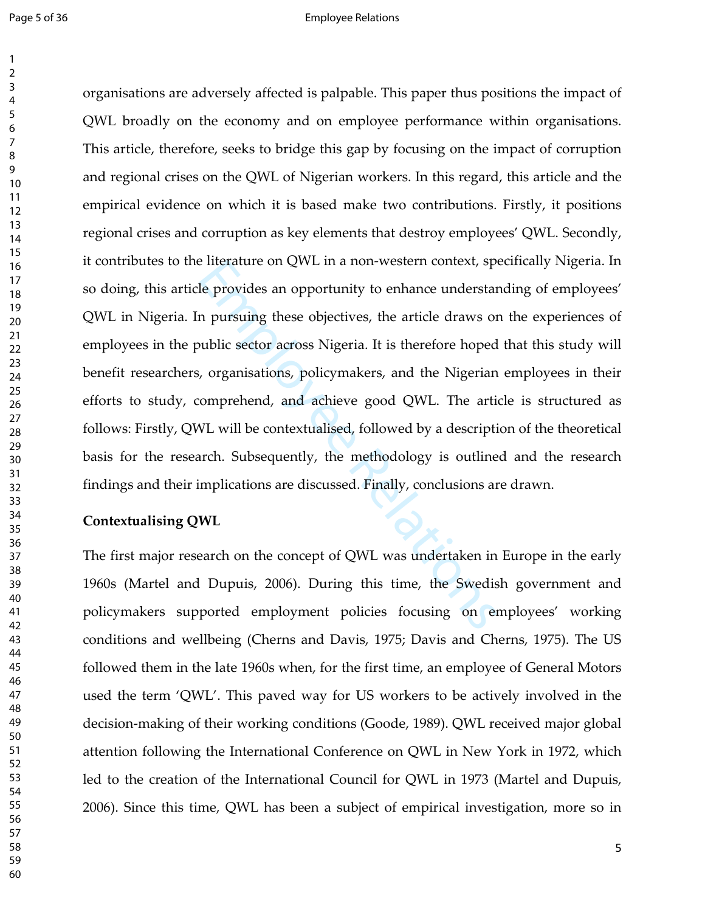#### Page 5 of 36 **Employee Relations**

Enterature on QWL in a non-western context, speared interature on QWL in a non-western context, speared provides an opportunity to enhance understan pursuing these objectives, the article draws or ublic sector across Niger organisations are adversely affected is palpable. This paper thus positions the impact of QWL broadly on the economy and on employee performance within organisations. This article, therefore, seeks to bridge this gap by focusing on the impact of corruption and regional crises on the QWL of Nigerian workers. In this regard, this article and the empirical evidence on which it is based make two contributions. Firstly, it positions regional crises and corruption as key elements that destroy employees' QWL. Secondly, it contributes to the literature on QWL in a non-western context, specifically Nigeria. In so doing, this article provides an opportunity to enhance understanding of employees' QWL in Nigeria. In pursuing these objectives, the article draws on the experiences of employees in the public sector across Nigeria. It is therefore hoped that this study will benefit researchers, organisations, policymakers, and the Nigerian employees in their efforts to study, comprehend, and achieve good QWL. The article is structured as follows: Firstly, QWL will be contextualised, followed by a description of the theoretical basis for the research. Subsequently, the methodology is outlined and the research findings and their implications are discussed. Finally, conclusions are drawn.

## **Contextualising QWL**

The first major research on the concept of QWL was undertaken in Europe in the early 1960s (Martel and Dupuis, 2006). During this time, the Swedish government and policymakers supported employment policies focusing on employees' working conditions and wellbeing (Cherns and Davis, 1975; Davis and Cherns, 1975). The US followed them in the late 1960s when, for the first time, an employee of General Motors used the term 'QWL'. This paved way for US workers to be actively involved in the decision-making of their working conditions (Goode, 1989). QWL received major global attention following the International Conference on QWL in New York in 1972, which led to the creation of the International Council for QWL in 1973 (Martel and Dupuis, 2006). Since this time, QWL has been a subject of empirical investigation, more so in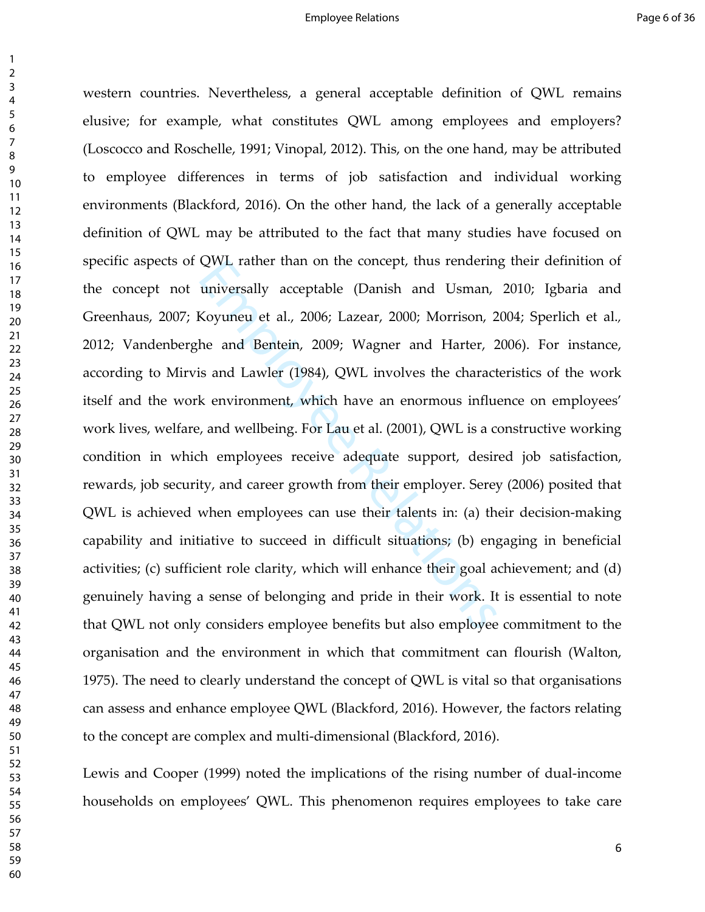QWL rather than on the concept, thus rendering<br>
universally acceptable (Danish and Usman,<br>
Koyuneu et al., 2006; Lazear, 2000; Morrison, 2<br>
he and Bentein, 2009; Wagner and Harter, 2<br>
is and Lawler (1984), QWL involves the western countries. Nevertheless, a general acceptable definition of QWL remains elusive; for example, what constitutes QWL among employees and employers? (Loscocco and Roschelle, 1991; Vinopal, 2012). This, on the one hand, may be attributed to employee differences in terms of job satisfaction and individual working environments (Blackford, 2016). On the other hand, the lack of a generally acceptable definition of QWL may be attributed to the fact that many studies have focused on specific aspects of QWL rather than on the concept, thus rendering their definition of the concept not universally acceptable (Danish and Usman, 2010; Igbaria and Greenhaus, 2007; Koyuneu et al., 2006; Lazear, 2000; Morrison, 2004; Sperlich et al.*,*  2012; Vandenberghe and Bentein, 2009; Wagner and Harter, 2006). For instance, according to Mirvis and Lawler (1984), QWL involves the characteristics of the work itself and the work environment, which have an enormous influence on employees' work lives, welfare, and wellbeing. For Lau et al. (2001), QWL is a constructive working condition in which employees receive adequate support, desired job satisfaction, rewards, job security, and career growth from their employer. Serey (2006) posited that QWL is achieved when employees can use their talents in: (a) their decision-making capability and initiative to succeed in difficult situations; (b) engaging in beneficial activities; (c) sufficient role clarity, which will enhance their goal achievement; and (d) genuinely having a sense of belonging and pride in their work. It is essential to note that QWL not only considers employee benefits but also employee commitment to the organisation and the environment in which that commitment can flourish (Walton, 1975). The need to clearly understand the concept of QWL is vital so that organisations can assess and enhance employee QWL (Blackford, 2016). However, the factors relating to the concept are complex and multi-dimensional (Blackford, 2016).

Lewis and Cooper (1999) noted the implications of the rising number of dual-income households on employees' QWL. This phenomenon requires employees to take care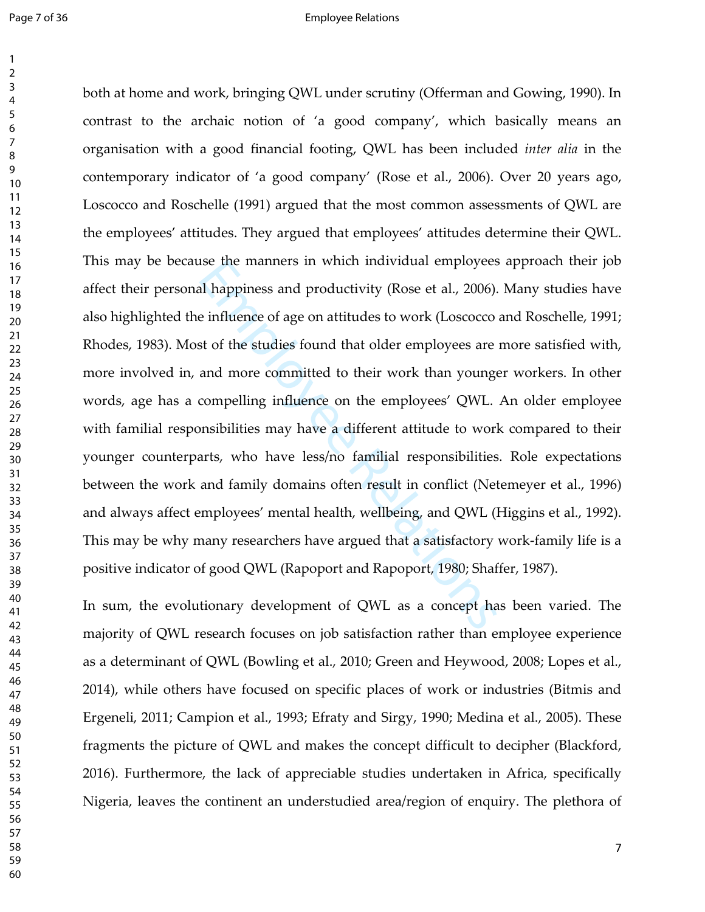### Page 7 of 36 **Employee Relations**

see the manners in which individual employees<br>al happiness and productivity (Rose et al., 2006).<br>e influence of age on attitudes to work (Loscocco<br>st of the studies found that older employees are<br>and more committed to thei both at home and work, bringing QWL under scrutiny (Offerman and Gowing, 1990). In contrast to the archaic notion of 'a good company', which basically means an organisation with a good financial footing, QWL has been included *inter alia* in the contemporary indicator of 'a good company' (Rose et al., 2006). Over 20 years ago, Loscocco and Roschelle (1991) argued that the most common assessments of QWL are the employees' attitudes. They argued that employees' attitudes determine their QWL. This may be because the manners in which individual employees approach their job affect their personal happiness and productivity (Rose et al., 2006). Many studies have also highlighted the influence of age on attitudes to work (Loscocco and Roschelle, 1991; Rhodes, 1983). Most of the studies found that older employees are more satisfied with, more involved in, and more committed to their work than younger workers. In other words, age has a compelling influence on the employees' QWL. An older employee with familial responsibilities may have a different attitude to work compared to their younger counterparts, who have less/no familial responsibilities. Role expectations between the work and family domains often result in conflict (Netemeyer et al., 1996) and always affect employees' mental health, wellbeing, and QWL (Higgins et al., 1992). This may be why many researchers have argued that a satisfactory work-family life is a positive indicator of good QWL (Rapoport and Rapoport, 1980; Shaffer, 1987).

In sum, the evolutionary development of QWL as a concept has been varied. The majority of QWL research focuses on job satisfaction rather than employee experience as a determinant of QWL (Bowling et al., 2010; Green and Heywood, 2008; Lopes et al., 2014), while others have focused on specific places of work or industries (Bitmis and Ergeneli, 2011; Campion et al., 1993; Efraty and Sirgy, 1990; Medina et al., 2005). These fragments the picture of QWL and makes the concept difficult to decipher (Blackford, 2016). Furthermore, the lack of appreciable studies undertaken in Africa, specifically Nigeria, leaves the continent an understudied area/region of enquiry. The plethora of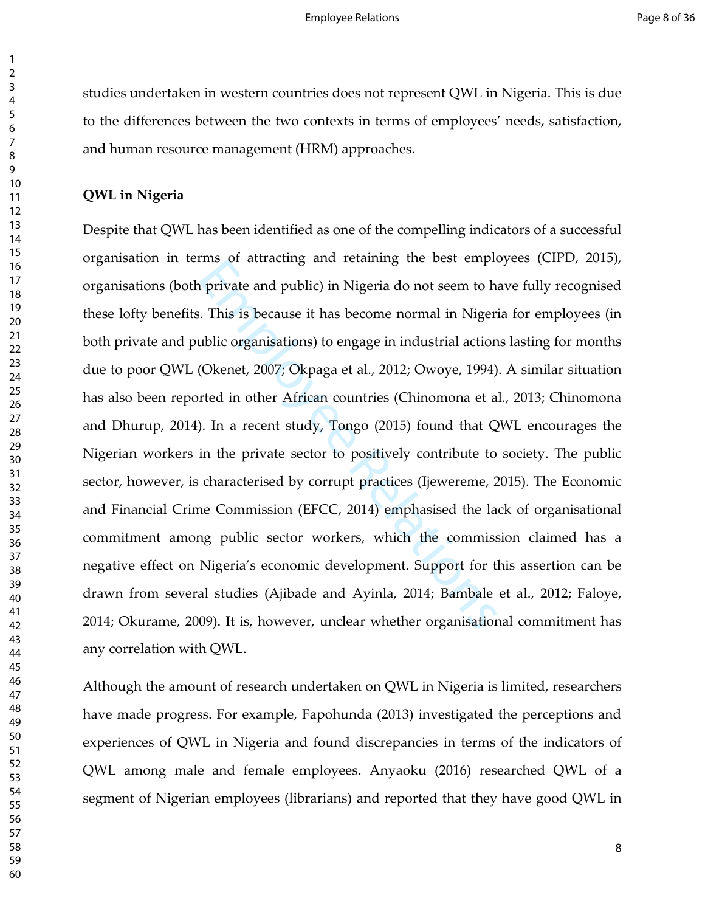studies undertaken in western countries does not represent QWL in Nigeria. This is due to the differences between the two contexts in terms of employees' needs, satisfaction, and human resource management (HRM) approaches.

### **QWL in Nigeria**

Ins of attacting and retaining the best empty<br>private and public) in Nigeria do not seem to h.<br>This is because it has become normal in Nigeri<br>ublic organisations) to engage in industrial action<br>(Okenet, 2007; Okpaga et al. Despite that QWL has been identified as one of the compelling indicators of a successful organisation in terms of attracting and retaining the best employees (CIPD, 2015), organisations (both private and public) in Nigeria do not seem to have fully recognised these lofty benefits. This is because it has become normal in Nigeria for employees (in both private and public organisations) to engage in industrial actions lasting for months due to poor QWL (Okenet, 2007; Okpaga et al., 2012; Owoye, 1994). A similar situation has also been reported in other African countries (Chinomona et al., 2013; Chinomona and Dhurup, 2014). In a recent study, Tongo (2015) found that QWL encourages the Nigerian workers in the private sector to positively contribute to society. The public sector, however, is characterised by corrupt practices (Ijewereme, 2015). The Economic and Financial Crime Commission (EFCC, 2014) emphasised the lack of organisational commitment among public sector workers, which the commission claimed has a negative effect on Nigeria's economic development. Support for this assertion can be drawn from several studies (Ajibade and Ayinla, 2014; Bambale et al., 2012; Faloye, 2014; Okurame, 2009). It is, however, unclear whether organisational commitment has any correlation with QWL.

Although the amount of research undertaken on QWL in Nigeria is limited, researchers have made progress. For example, Fapohunda (2013) investigated the perceptions and experiences of QWL in Nigeria and found discrepancies in terms of the indicators of QWL among male and female employees. Anyaoku (2016) researched QWL of a segment of Nigerian employees (librarians) and reported that they have good QWL in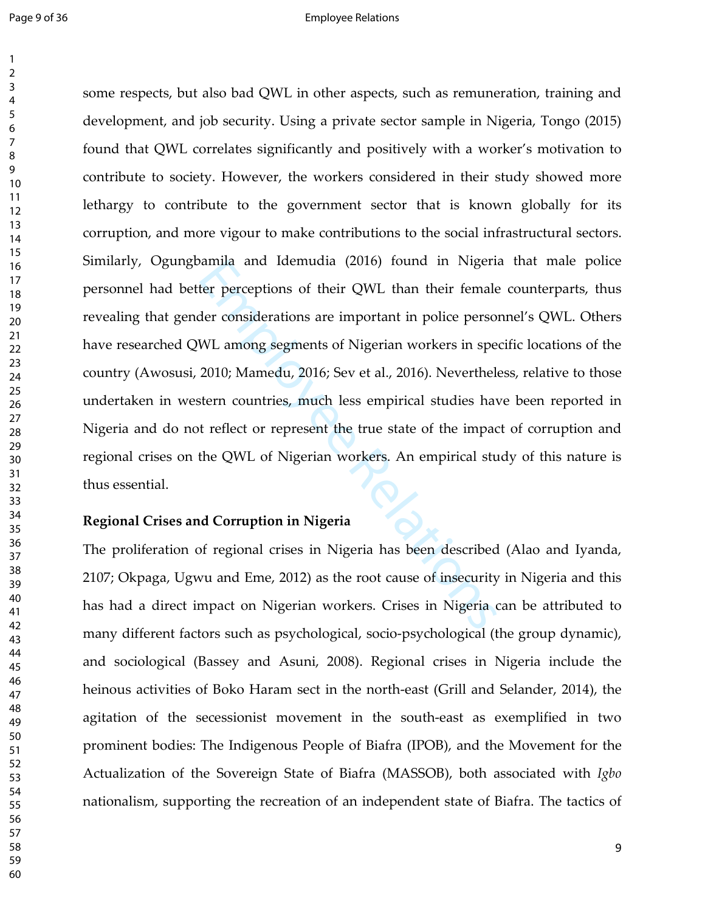### Page 9 of 36 **Employee Relations**

France and Talemulaia (2016) found in Nigeri.<br>
Exter perceptions of their QWL than their female<br>
eler considerations are important in police perso<br>
WL among segments of Nigerian workers in spe<br>
2010; Mamedu, 2016; Sev et a some respects, but also bad QWL in other aspects, such as remuneration, training and development, and job security. Using a private sector sample in Nigeria, Tongo (2015) found that QWL correlates significantly and positively with a worker's motivation to contribute to society. However, the workers considered in their study showed more lethargy to contribute to the government sector that is known globally for its corruption, and more vigour to make contributions to the social infrastructural sectors. Similarly, Ogungbamila and Idemudia (2016) found in Nigeria that male police personnel had better perceptions of their QWL than their female counterparts, thus revealing that gender considerations are important in police personnel's QWL. Others have researched QWL among segments of Nigerian workers in specific locations of the country (Awosusi, 2010; Mamedu, 2016; Sev et al., 2016). Nevertheless, relative to those undertaken in western countries, much less empirical studies have been reported in Nigeria and do not reflect or represent the true state of the impact of corruption and regional crises on the QWL of Nigerian workers. An empirical study of this nature is thus essential.

## **Regional Crises and Corruption in Nigeria**

The proliferation of regional crises in Nigeria has been described (Alao and Iyanda, 2107; Okpaga, Ugwu and Eme, 2012) as the root cause of insecurity in Nigeria and this has had a direct impact on Nigerian workers. Crises in Nigeria can be attributed to many different factors such as psychological, socio-psychological (the group dynamic), and sociological (Bassey and Asuni, 2008). Regional crises in Nigeria include the heinous activities of Boko Haram sect in the north-east (Grill and Selander, 2014), the agitation of the secessionist movement in the south-east as exemplified in two prominent bodies: The Indigenous People of Biafra (IPOB), and the Movement for the Actualization of the Sovereign State of Biafra (MASSOB), both associated with *Igbo* nationalism, supporting the recreation of an independent state of Biafra. The tactics of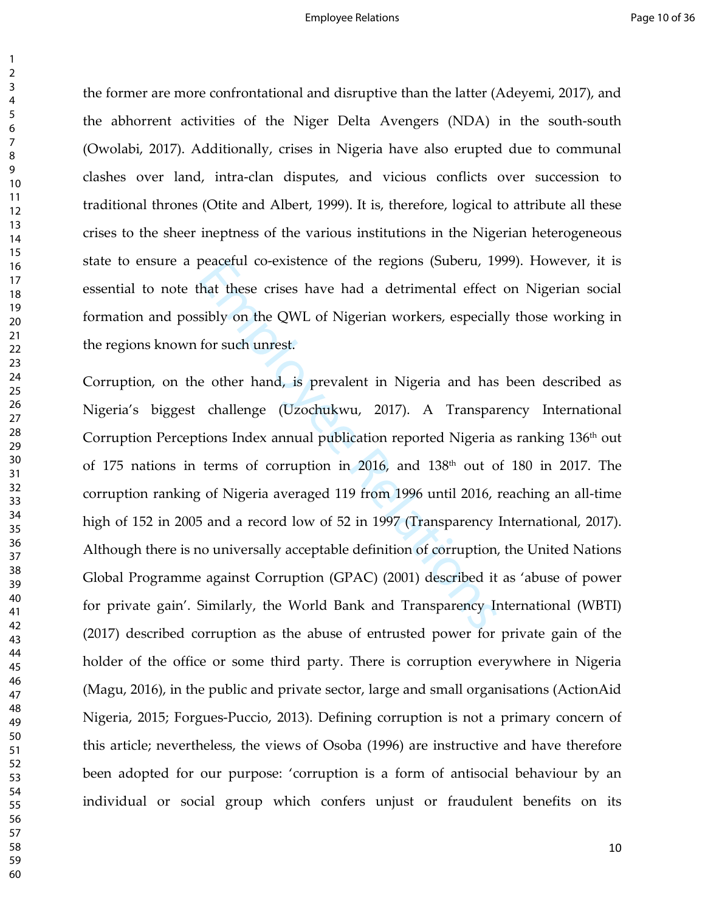### Employee Relations **Page 10 of 36**

the former are more confrontational and disruptive than the latter (Adeyemi, 2017), and the abhorrent activities of the Niger Delta Avengers (NDA) in the south-south (Owolabi, 2017). Additionally, crises in Nigeria have also erupted due to communal clashes over land, intra-clan disputes, and vicious conflicts over succession to traditional thrones (Otite and Albert, 1999). It is, therefore, logical to attribute all these crises to the sheer ineptness of the various institutions in the Nigerian heterogeneous state to ensure a peaceful co-existence of the regions (Suberu, 1999). However, it is essential to note that these crises have had a detrimental effect on Nigerian social formation and possibly on the QWL of Nigerian workers, especially those working in the regions known for such unrest.

beacerul co-existence of the regions (suberu, 19<br>hat these crises have had a detrimental effect<br>sibly on the QWL of Nigerian workers, especial<br>for such unrest.<br>e other hand, is prevalent in Nigeria and has<br>challenge (Uzoch Corruption, on the other hand, is prevalent in Nigeria and has been described as Nigeria's biggest challenge (Uzochukwu, 2017). A Transparency International Corruption Perceptions Index annual publication reported Nigeria as ranking  $136<sup>th</sup>$  out of 175 nations in terms of corruption in 2016, and  $138<sup>th</sup>$  out of 180 in 2017. The corruption ranking of Nigeria averaged 119 from 1996 until 2016, reaching an all-time high of 152 in 2005 and a record low of 52 in 1997 (Transparency International, 2017). Although there is no universally acceptable definition of corruption, the United Nations Global Programme against Corruption (GPAC) (2001) described it as 'abuse of power for private gain'. Similarly, the World Bank and Transparency International (WBTI) (2017) described corruption as the abuse of entrusted power for private gain of the holder of the office or some third party. There is corruption everywhere in Nigeria (Magu, 2016), in the public and private sector, large and small organisations (ActionAid Nigeria, 2015; Forgues-Puccio, 2013). Defining corruption is not a primary concern of this article; nevertheless, the views of Osoba (1996) are instructive and have therefore been adopted for our purpose: 'corruption is a form of antisocial behaviour by an individual or social group which confers unjust or fraudulent benefits on its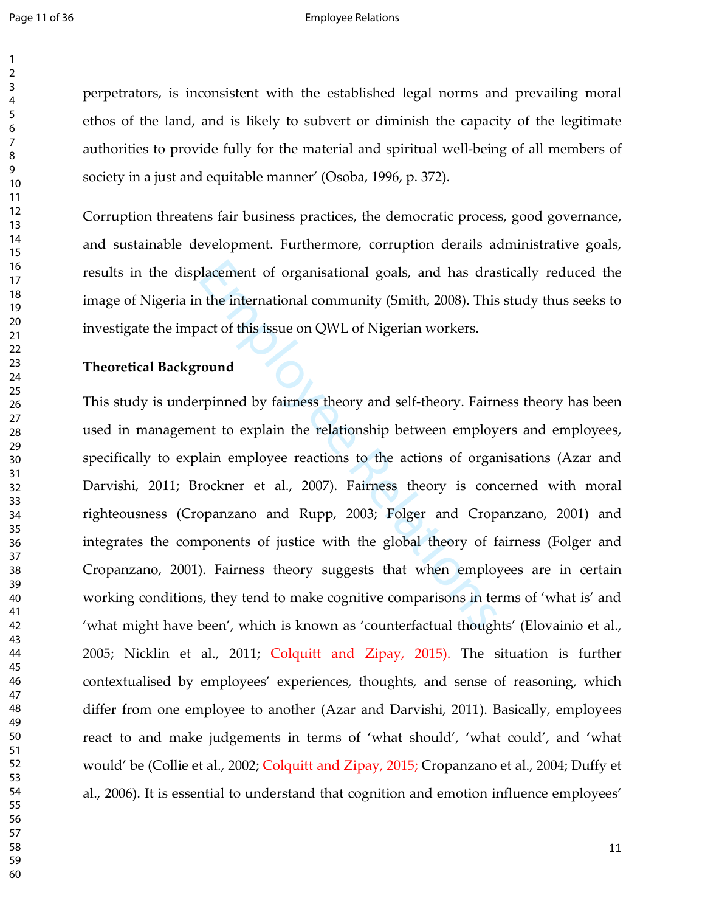### Page 11 of 36 **Employee Relations**

perpetrators, is inconsistent with the established legal norms and prevailing moral ethos of the land, and is likely to subvert or diminish the capacity of the legitimate authorities to provide fully for the material and spiritual well-being of all members of society in a just and equitable manner' (Osoba, 1996, p. 372).

Corruption threatens fair business practices, the de mocratic process, good governance, and sustainable development. Furthermore, corruption derails administrative goals, results in the displacement of organisational goals, and has drastically reduced the image of Nigeria in the international community (Smith, 2008). This study thus seeks to investigate the impact of this issue on QWL of Nigerian workers.

## **Theoretical Background**

orthermal spaces and has drawitational spaces.<br>
Alternational community (Smith, 2008). This<br>
act of this issue on QWL of Nigerian workers.<br> **Cound**<br> **Cound**<br> **Cound**<br> **Cound**<br> **Cound**<br> **Cound**<br> **Cound**<br> **Cound**<br> **Cound**<br> This study is underpinned by fairness theory and self-theory. Fairness theory has been used in management to explain the relationship between employers and employees, specifically to explain employee reactions to the actions of organisations (Azar and Darvishi, 2011; Brockner et al., 2007). Fairness theory is concerned with moral righteousness (Cropanzano and Rupp, 2003; Folger and Cropanzano, 2001) and integrates the components of justice with the global theory of fairness (Folger and Cropanzano, 2001). Fairness theory suggests that when employees are in certain working conditions, they tend to make cognitive comparisons in terms of 'what is' and 'what might have been', which is known as 'counterfactual thoughts' (Elovainio et al., 2005; Nicklin et al., 2011; Colquitt and Zipay, 2015). The situation is further contextualised by employees' experiences, thoughts, and sense of reasoning, which differ from one employee to another (Azar and Darvishi, 2011). Basically, employees react to and make judgements in terms of 'what should', 'what could', and 'what would' be (Collie et al., 2002; Colquitt and Zipay, 2015; Cropanzano et al., 2004; Duffy et al., 2006). It is essential to understand that cognition and emotion influence employees'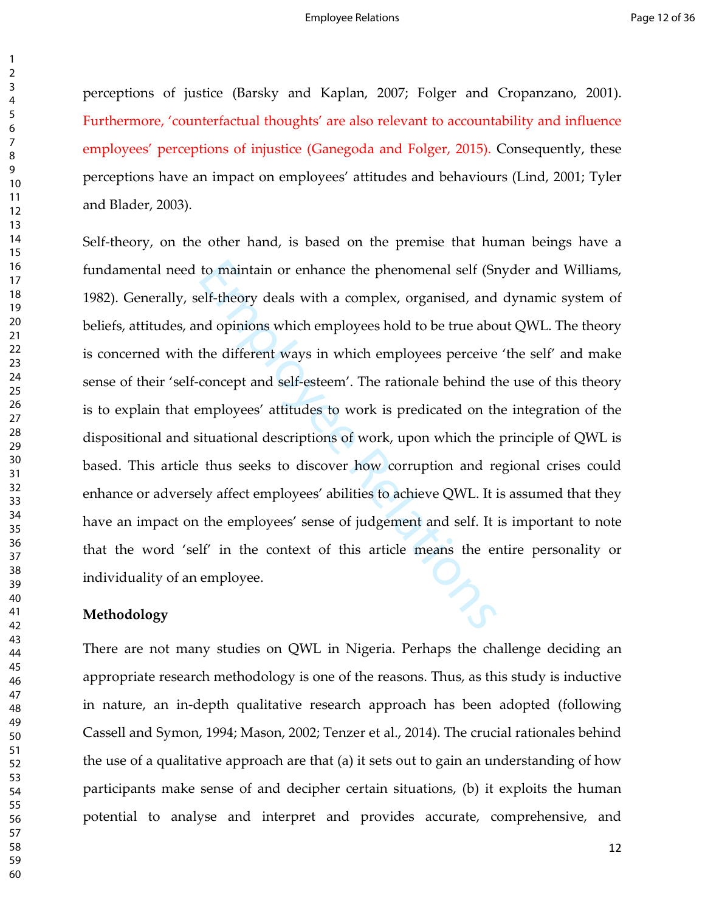perceptions of justice (Barsky and Kaplan, 2007; Folger and Cropanzano, 2001). Furthermore, 'counterfactual thoughts' are also relevant to accountability and influence employees' perceptions of injustice (Ganegoda and Folger, 2015). Consequently, these perceptions have an impact on employees' attitudes and behaviours (Lind, 2001; Tyler and Blader, 2003).

to maintain or enhance the phenomenal self (Sr<br>elf-theory deals with a complex, organised, and<br>ad opinions which employees hold to be true abo<br>the different ways in which employees perceive<br>concept and self-esteem'. The ra Self-theory, on the other hand, is based on the premise that human beings have a fundamental need to maintain or enhance the phenomenal self (Snyder and Williams, 1982). Generally, self-theory deals with a complex, organised, and dynamic system of beliefs, attitudes, and opinions which employees hold to be true about QWL. The theory is concerned with the different ways in which employees perceive 'the self' and make sense of their 'self-concept and self-esteem'. The rationale behind the use of this theory is to explain that employees' attitudes to work is predicated on the integration of the dispositional and situational descriptions of work, upon which the principle of QWL is based. This article thus seeks to discover how corruption and regional crises could enhance or adversely affect employees' abilities to achieve QWL. It is assumed that they have an impact on the employees' sense of judgement and self. It is important to note that the word 'self' in the context of this article means the entire personality or individuality of an employee.

## **Methodology**

There are not many studies on QWL in Nigeria. Perhaps the challenge deciding an appropriate research methodology is one of the reasons. Thus, as this study is inductive in nature, an in-depth qualitative research approach has been adopted (following Cassell and Symon, 1994; Mason, 2002; Tenzer et al., 2014). The crucial rationales behind the use of a qualitative approach are that (a) it sets out to gain an understanding of how participants make sense of and decipher certain situations, (b) it exploits the human potential to analyse and interpret and provides accurate, comprehensive, and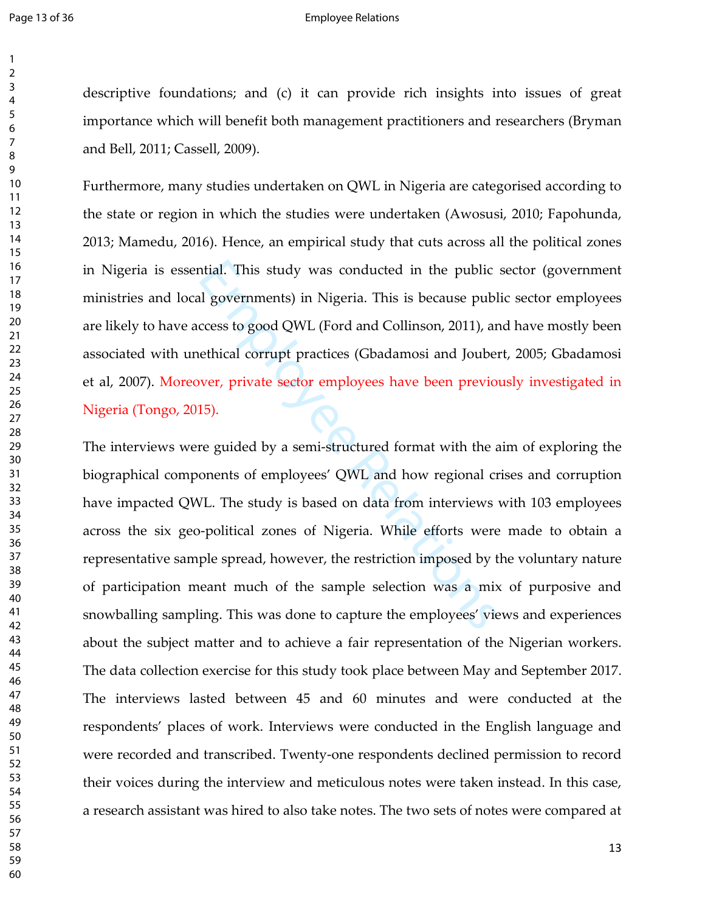### Page 13 of 36 **Employee Relations**

descriptive foundations; and (c) it can provide rich insights into issues of great importance which will benefit both management practitioners and researchers (Bryman and Bell, 2011; Cassell, 2009).

Furthermore, many studies undertaken on QWL in Nigeria are categorised according to the state or region in which the studies were undertaken (Awosusi, 2010; Fapohunda, 2013; Mamedu, 2016). Hence, an empirical study that cuts across all the political zones in Nigeria is essential. This study was conducted in the public sector (government ministries and local governments) in Nigeria. This is because public sector employees are likely to have access to good QWL (Ford and Collinson, 2011), and have mostly been associated with unethical corrupt practices (Gbadamosi and Joubert, 2005; Gbadamosi et al, 2007). Moreover, private sector employees have been previously investigated in Nigeria (Tongo, 2015).

ntial. This study was conducted in the public<br>al governments) in Nigeria. This is because publ<br>ccess to good QWL (Ford and Collinson, 2011), ar<br>ethical corrupt practices (Gbadamosi and Joubes<br>wer, private sector employees The interviews were guided by a semi-structured format with the aim of exploring the biographical components of employees' QWL and how regional crises and corruption have impacted QWL. The study is based on data from interviews with 103 employees across the six geo-political zones of Nigeria. While efforts were made to obtain a representative sample spread, however, the restriction imposed by the voluntary nature of participation meant much of the sample selection was a mix of purposive and snowballing sampling. This was done to capture the employees' views and experiences about the subject matter and to achieve a fair representation of the Nigerian workers. The data collection exercise for this study took place between May and September 2017. The interviews lasted between 45 and 60 minutes and were conducted at the respondents' places of work. Interviews were conducted in the English language and were recorded and transcribed. Twenty-one respondents declined permission to record their voices during the interview and meticulous notes were taken instead. In this case, a research assistant was hired to also take notes. The two sets of notes were compared at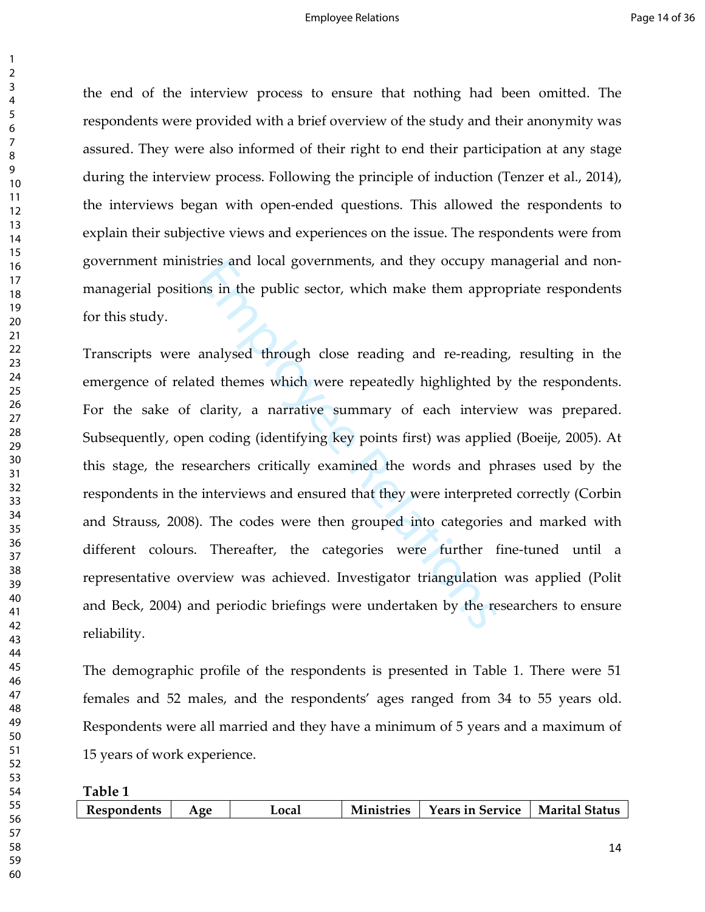### Employee Relations **Page 14 of 36**

the end of the interview process to ensure that nothing had been omitted. The respondents were provided with a brief overview of the study and their anonymity was assured. They were also informed of their right to end their participation at any stage during the interview process. Following the principle of induction (Tenzer et al., 2014), the interviews began with open-ended questions. This allowed the respondents to explain their subjective views and experiences on the issue. The respondents were from government ministries and local governments, and they occupy managerial and nonmanagerial positions in the public sector, which make them appropriate respondents for this study.

ries and local governments, and they occupy m<br>ns in the public sector, which make them approximal<br>analysed through close reading and re-readin<br>ed themes which were repeatedly highlighted l<br>clarity, a narrative summary of e Transcripts were analysed through close reading and re-reading, resulting in the emergence of related themes which were repeatedly highlighted by the respondents. For the sake of clarity, a narrative summary of each interview was prepared. Subsequently, open coding (identifying key points first) was applied (Boeije, 2005). At this stage, the researchers critically examined the words and phrases used by the respondents in the interviews and ensured that they were interpreted correctly (Corbin and Strauss, 2008). The codes were then grouped into categories and marked with different colours. Thereafter, the categories were further fine-tuned until a representative overview was achieved. Investigator triangulation was applied (Polit and Beck, 2004) and periodic briefings were undertaken by the researchers to ensure reliability.

The demographic profile of the respondents is presented in Table 1. There were 51 females and 52 males, and the respondents' ages ranged from 34 to 55 years old. Respondents were all married and they have a minimum of 5 years and a maximum of 15 years of work experience.

**Table 1** 

| Respondents | Age | Local | Ministries   Years in Service   Marital Status |  |
|-------------|-----|-------|------------------------------------------------|--|
|             |     |       |                                                |  |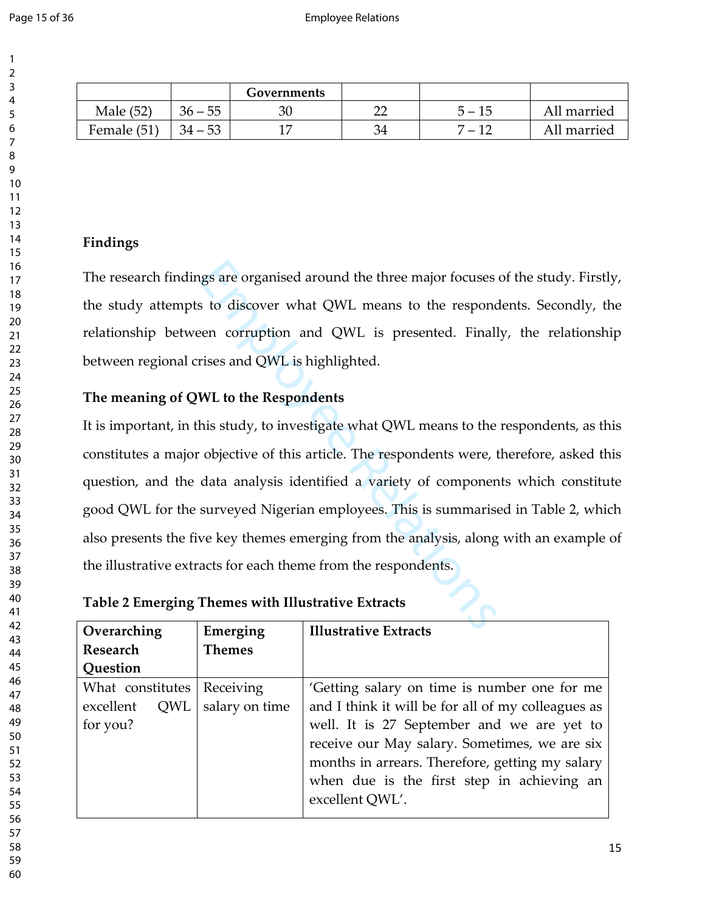|             |          | Governments |          |                 |               |
|-------------|----------|-------------|----------|-----------------|---------------|
| Male $(52)$ | 55<br>36 | 30          | ~~<br>__ | $\mathcal{D} =$ | All married   |
| Female (51) | 34<br>ںں |             |          | $(10^{-10})$    | married<br>Ah |

## **Findings**

The research findings are organised around the three major focuses of the study. Firstly, the study attempts to discover what QWL means to the respondents. Secondly, the relationship between corruption and QWL is presented. Finally, the relationship between regional crises and QWL is highlighted.

# **The meaning of QWL to the Respondents**

re organised around the three major focuses<br>s to discover what QWL means to the respond<br>een corruption and QWL is presented. Finall<br>rises and QWL is highlighted.<br>WL to the Respondents<br>his study, to investigate what QWL mea It is important, in this study, to investigate what QWL means to the respondents, as this constitutes a major objective of this article. The respondents were, therefore, asked this question, and the data analysis identified a variety of components which constitute good QWL for the surveyed Nigerian employees. This is summarised in Table 2, which also presents the five key themes emerging from the analysis, along with an example of the illustrative extracts for each theme from the respondents.

| Table 2 Emerging Themes with Illustrative Extracts |  |
|----------------------------------------------------|--|
|----------------------------------------------------|--|

| Overarching<br>Emerging                          |                             | <b>Illustrative Extracts</b>                                                                                                                                                                                                                                                                                          |
|--------------------------------------------------|-----------------------------|-----------------------------------------------------------------------------------------------------------------------------------------------------------------------------------------------------------------------------------------------------------------------------------------------------------------------|
| Research                                         | <b>Themes</b>               |                                                                                                                                                                                                                                                                                                                       |
| Question                                         |                             |                                                                                                                                                                                                                                                                                                                       |
| What constitutes<br>excellent<br>QWL<br>for you? | Receiving<br>salary on time | 'Getting salary on time is number one for me<br>and I think it will be for all of my colleagues as<br>well. It is 27 September and we are yet to<br>receive our May salary. Sometimes, we are six<br>months in arrears. Therefore, getting my salary<br>when due is the first step in achieving an<br>excellent QWL'. |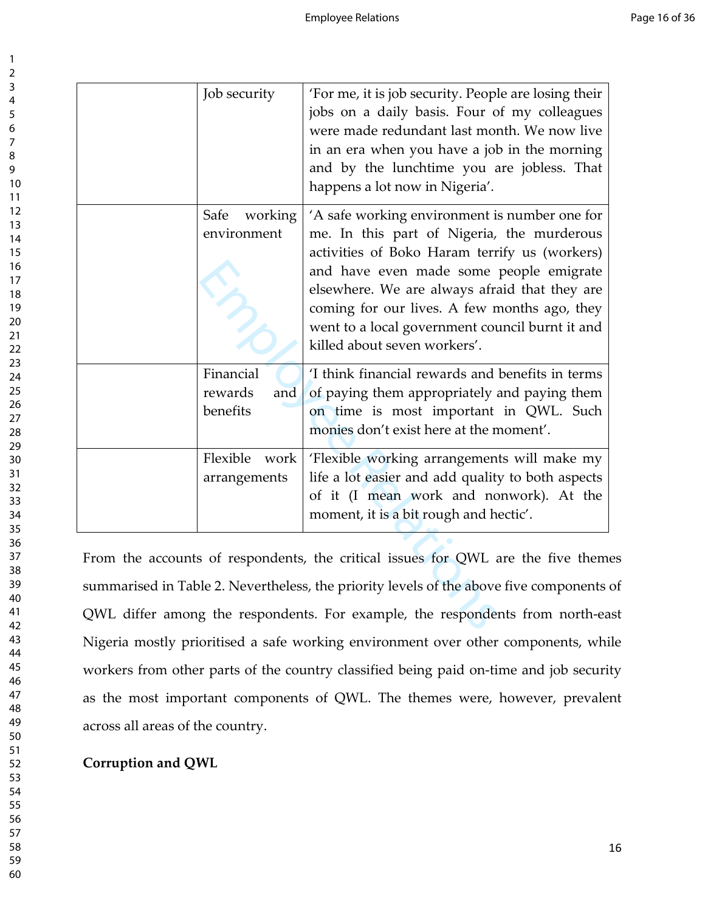| Job security                            | 'For me, it is job security. People are losing their<br>jobs on a daily basis. Four of my colleagues<br>were made redundant last month. We now live<br>in an era when you have a job in the morning<br>and by the lunchtime you are jobless. That<br>happens a lot now in Nigeria'.                                                                                         |
|-----------------------------------------|-----------------------------------------------------------------------------------------------------------------------------------------------------------------------------------------------------------------------------------------------------------------------------------------------------------------------------------------------------------------------------|
| Safe<br>working<br>environment          | 'A safe working environment is number one for<br>me. In this part of Nigeria, the murderous<br>activities of Boko Haram terrify us (workers)<br>and have even made some people emigrate<br>elsewhere. We are always afraid that they are<br>coming for our lives. A few months ago, they<br>went to a local government council burnt it and<br>killed about seven workers'. |
| Financial<br>rewards<br>and<br>benefits | 'I think financial rewards and benefits in terms<br>of paying them appropriately and paying them<br>on time is most important in QWL. Such<br>monies don't exist here at the moment'.                                                                                                                                                                                       |
| Flexible work<br>arrangements           | 'Flexible working arrangements will make my<br>life a lot easier and add quality to both aspects<br>of it (I mean work and nonwork). At the<br>moment, it is a bit rough and hectic'.                                                                                                                                                                                       |
|                                         | From the accounts of respondents, the critical issues for QWL are the five them                                                                                                                                                                                                                                                                                             |
|                                         | summarised in Table 2. Nevertheless, the priority levels of the above five components                                                                                                                                                                                                                                                                                       |
|                                         | QWL differ among the respondents. For example, the respondents from north-ea                                                                                                                                                                                                                                                                                                |

From the accounts of respondents, the critical issues for QWL are the five themes summarised in Table 2. Nevertheless, the priority levels of the above five components of QWL differ among the respondents. For example, the respondents from north-east Nigeria mostly prioritised a safe working environment over other components, while workers from other parts of the country classified being paid on-time and job security as the most important components of QWL. The themes were, however, prevalent across all areas of the country.

# **Corruption and QWL**

 $\mathbf{1}$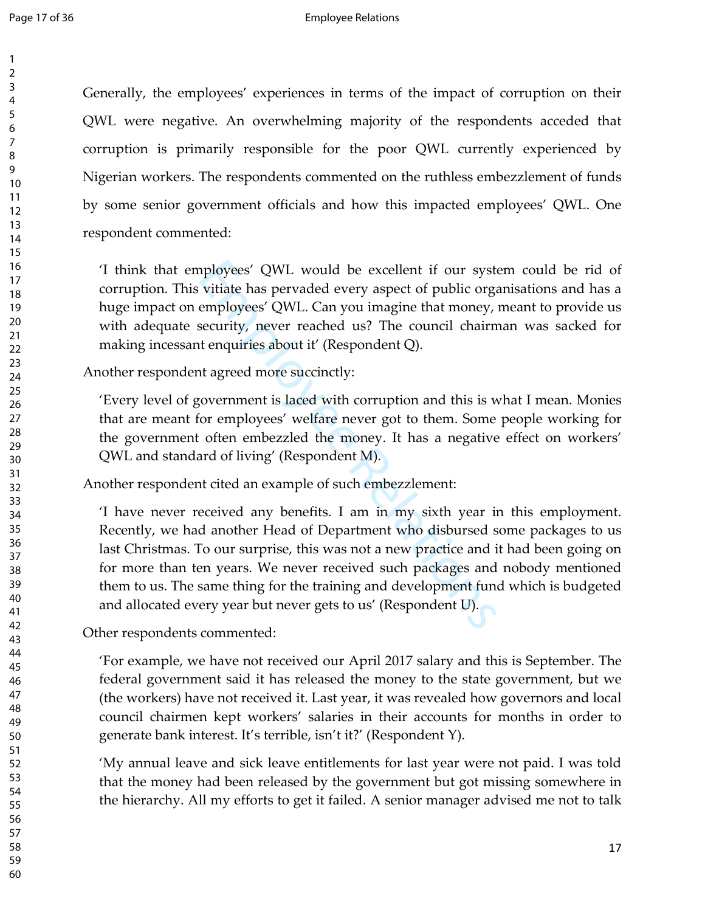Generally, the employees' experiences in terms of the impact of corruption on their QWL were negative. An overwhelming majority of the respondents acceded that corruption is primarily responsible for the poor QWL currently experienced by Nigerian workers. The respondents commented on the ruthless embezzlement of funds by some senior government officials and how this impacted employees' QWL. One respondent commented:

'I think that employees' QWL would be excellent if our system could be rid of corruption. This vitiate has pervaded every aspect of public organisations and has a huge impact on employees' QWL. Can you imagine that money, meant to provide us with adequate security, never reached us? The council chairman was sacked for making incessant enquiries about it' (Respondent Q).

Another respondent agreed more succinctly:

'Every level of government is laced with corruption and this is what I mean. Monies that are meant for employees' welfare never got to them. Some people working for the government often embezzled the money. It has a negative effect on workers' QWL and standard of living' (Respondent M).

Another respondent cited an example of such embezzlement:

ployees' QWL would be excellent if our syst<br>vitiate has pervaded every aspect of public orga<br>employees' QWL. Can you imagine that money,<br>security, never reached us? The council chairn<br>t enquiries about it' (Respondent Q).<br> 'I have never received any benefits. I am in my sixth year in this employment. Recently, we had another Head of Department who disbursed some packages to us last Christmas. To our surprise, this was not a new practice and it had been going on for more than ten years. We never received such packages and nobody mentioned them to us. The same thing for the training and development fund which is budgeted and allocated every year but never gets to us' (Respondent U).

Other respondents commented:

'For example, we have not received our April 2017 salary and this is September. The federal government said it has released the money to the state government, but we (the workers) have not received it. Last year, it was revealed how governors and local council chairmen kept workers' salaries in their accounts for months in order to generate bank interest. It's terrible, isn't it?' (Respondent Y).

'My annual leave and sick leave entitlements for last year were not paid. I was told that the money had been released by the government but got missing somewhere in the hierarchy. All my efforts to get it failed. A senior manager advised me not to talk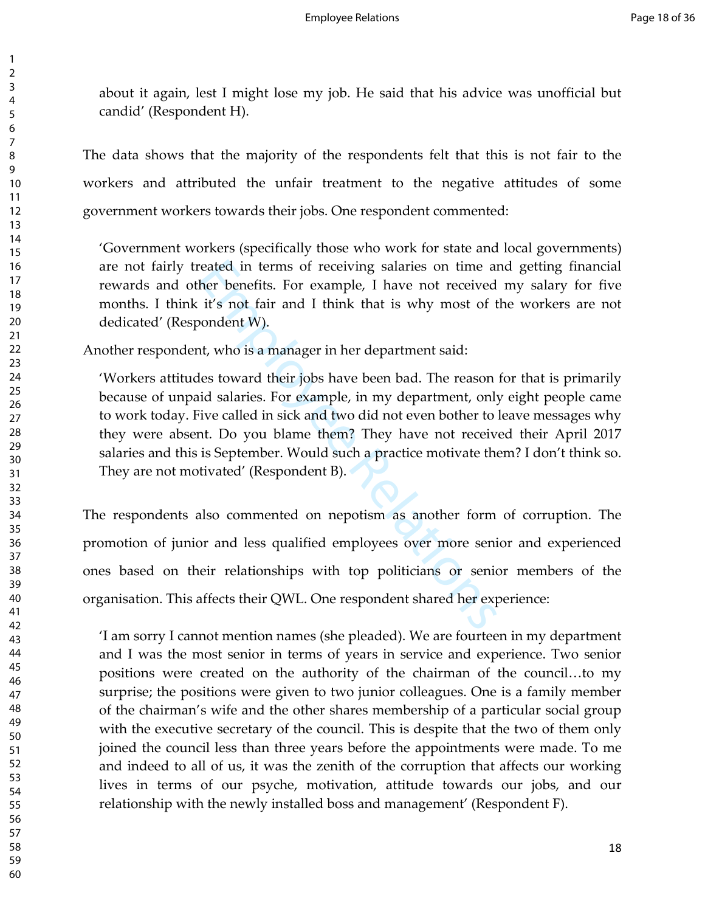about it again, lest I might lose my job. He said that his advice was unofficial but candid' (Respondent H).

The data shows that the majority of the respondents felt that this is not fair to the workers and attributed the unfair treatment to the negative attitudes of some government workers towards their jobs. One respondent commented:

'Government workers (specifically those who work for state and local governments) are not fairly treated in terms of receiving salaries on time and getting financial rewards and other benefits. For example, I have not received my salary for five months. I think it's not fair and I think that is why most of the workers are not dedicated' (Respondent W).

Another respondent, who is a manager in her department said:

reated in terms of receiving salaries on time and<br>her benefits. For example, I have not received<br>it's not fair and I think that is why most of t<br>ondent W).<br>t, who is a manager in her department said:<br>les toward their jobs 'Workers attitudes toward their jobs have been bad. The reason for that is primarily because of unpaid salaries. For example, in my department, only eight people came to work today. Five called in sick and two did not even bother to leave messages why they were absent. Do you blame them? They have not received their April 2017 salaries and this is September. Would such a practice motivate them? I don't think so. They are not motivated' (Respondent B).

The respondents also commented on nepotism as another form of corruption. The promotion of junior and less qualified employees over more senior and experienced ones based on their relationships with top politicians or senior members of the organisation. This affects their QWL. One respondent shared her experience:

'I am sorry I cannot mention names (she pleaded). We are fourteen in my department and I was the most senior in terms of years in service and experience. Two senior positions were created on the authority of the chairman of the council…to my surprise; the positions were given to two junior colleagues. One is a family member of the chairman's wife and the other shares membership of a particular social group with the executive secretary of the council. This is despite that the two of them only joined the council less than three years before the appointments were made. To me and indeed to all of us, it was the zenith of the corruption that affects our working lives in terms of our psyche, motivation, attitude towards our jobs, and our relationship with the newly installed boss and management' (Respondent F).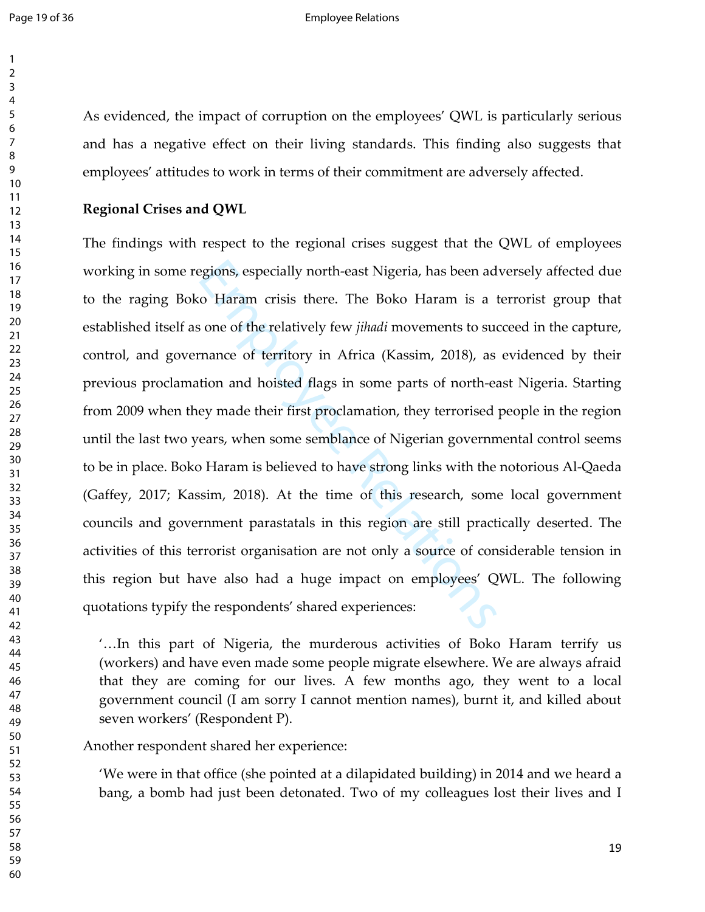### Page 19 of 36 **Employee Relations**

As evidenced, the impact of corruption on the employees' QWL is particularly serious and has a negative effect on their living standards. This finding also suggests that employees' attitudes to work in terms of their commitment are adversely affected.

## **Regional Crises and QWL**

egions, especially north-east Nigeria, has been ad<br>o Haram crisis there. The Boko Haram is a t<br>sone of the relatively few *jihadi* movements to sue<br>mance of territory in Africa (Kassim, 2018), as<br>tion and hoisted flags in The findings with respect to the regional crises suggest that the QWL of employees working in some regions, especially north-east Nigeria, has been adversely affected due to the raging Boko Haram crisis there. The Boko Haram is a terrorist group that established itself as one of the relatively few *jihadi* movements to succeed in the capture, control, and governance of territory in Africa (Kassim, 2018), as evidenced by their previous proclamation and hoisted flags in some parts of north-east Nigeria. Starting from 2009 when they made their first proclamation, they terrorised people in the region until the last two years, when some semblance of Nigerian governmental control seems to be in place. Boko Haram is believed to have strong links with the notorious Al-Qaeda (Gaffey, 2017; Kassim, 2018). At the time of this research, some local government councils and government parastatals in this region are still practically deserted. The activities of this terrorist organisation are not only a source of considerable tension in this region but have also had a huge impact on employees' QWL. The following quotations typify the respondents' shared experiences:

'…In this part of Nigeria, the murderous activities of Boko Haram terrify us (workers) and have even made some people migrate elsewhere. We are always afraid that they are coming for our lives. A few months ago, they went to a local government council (I am sorry I cannot mention names), burnt it, and killed about seven workers' (Respondent P).

Another respondent shared her experience:

'We were in that office (she pointed at a dilapidated building) in 2014 and we heard a bang, a bomb had just been detonated. Two of my colleagues lost their lives and I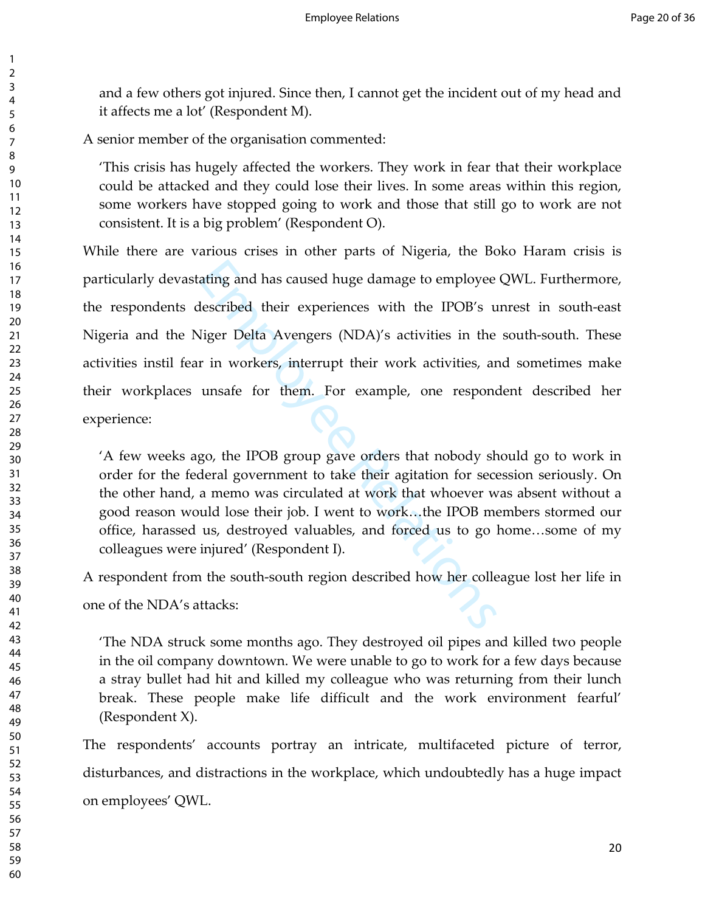and a few others got injured. Since then, I cannot get the incident out of my head and it affects me a lot' (Respondent M).

A senior member of the organisation commented:

'This crisis has hugely affected the workers. They work in fear that their workplace could be attacked and they could lose their lives. In some areas within this region, some workers have stopped going to work and those that still go to work are not consistent. It is a big problem' (Respondent O).

ating and has caused huge damage to employee<br>lescribed their experiences with the IPOB's u<br>liger Delta Avengers (NDA)'s activities in the<br>r in workers, interrupt their work activities, ar<br>unsafe for them. For example, one While there are various crises in other parts of Nigeria, the Boko Haram crisis is particularly devastating and has caused huge damage to employee QWL. Furthermore, the respondents described their experiences with the IPOB's unrest in south-east Nigeria and the Niger Delta Avengers (NDA)'s activities in the south-south. These activities instil fear in workers, interrupt their work activities, and sometimes make their workplaces unsafe for them. For example, one respondent described her experience:

'A few weeks ago, the IPOB group gave orders that nobody should go to work in order for the federal government to take their agitation for secession seriously. On the other hand, a memo was circulated at work that whoever was absent without a good reason would lose their job. I went to work…the IPOB members stormed our office, harassed us, destroyed valuables, and forced us to go home…some of my colleagues were injured' (Respondent I).

A respondent from the south-south region described how her colleague lost her life in one of the NDA's attacks:

'The NDA struck some months ago. They destroyed oil pipes and killed two people in the oil company downtown. We were unable to go to work for a few days because a stray bullet had hit and killed my colleague who was returning from their lunch break. These people make life difficult and the work environment fearful' (Respondent X).

The respondents' accounts portray an intricate, multifaceted picture of terror, disturbances, and distractions in the workplace, which undoubtedly has a huge impact on employees' QWL.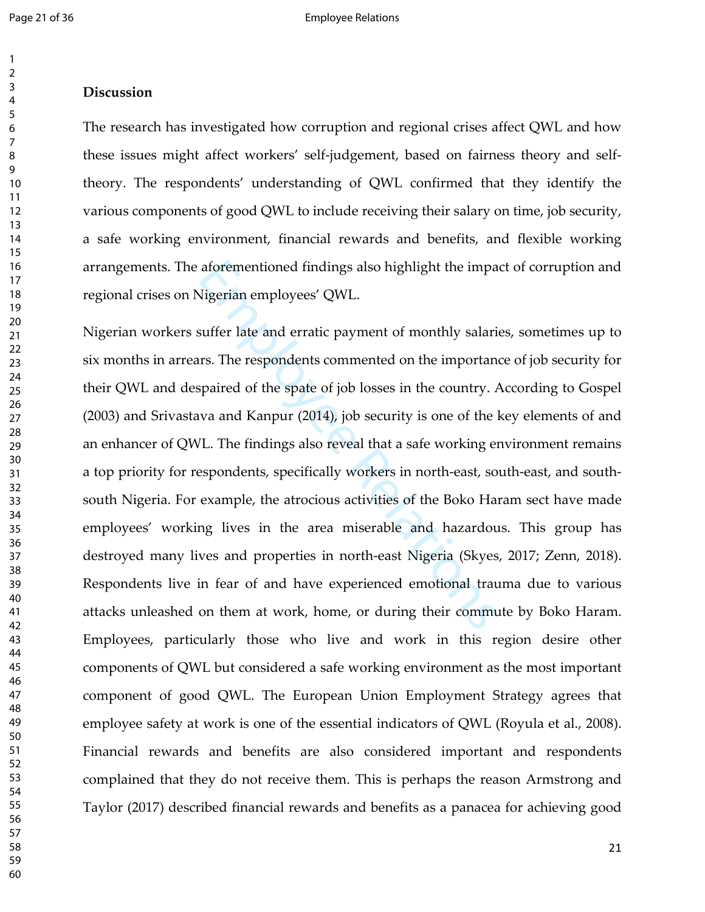### $\overline{2}$

## **Discussion**

The research has investigated how corruption and regional crises affect QWL and how these issues might affect workers' self-judgement, based on fairness theory and selftheory. The respondents' understanding of QWL confirmed that they identify the various components of good QWL to include receiving their salary on time, job security, a safe working environment, financial rewards and benefits, and flexible working arrangements. The aforementioned findings also highlight the impact of corruption and regional crises on Nigerian employees' QWL.

aforementioned findings also highlight the impa<br>
Vigerian employees' QWL.<br>
Suffer late and erratic payment of monthly salari<br>
rs. The respondents commented on the importan<br>
paired of the spate of job losses in the country. Nigerian workers suffer late and erratic payment of monthly salaries, sometimes up to six months in arrears. The respondents commented on the importance of job security for their QWL and despaired of the spate of job losses in the country. According to Gospel (2003) and Srivastava and Kanpur (2014), job security is one of the key elements of and an enhancer of QWL. The findings also reveal that a safe working environment remains a top priority for respondents, specifically workers in north-east, south-east, and southsouth Nigeria. For example, the atrocious activities of the Boko Haram sect have made employees' working lives in the area miserable and hazardous. This group has destroyed many lives and properties in north-east Nigeria (Skyes, 2017; Zenn, 2018). Respondents live in fear of and have experienced emotional trauma due to various attacks unleashed on them at work, home, or during their commute by Boko Haram. Employees, particularly those who live and work in this region desire other components of QWL but considered a safe working environment as the most important component of good QWL. The European Union Employment Strategy agrees that employee safety at work is one of the essential indicators of QWL (Royula et al., 2008). Financial rewards and benefits are also considered important and respondents complained that they do not receive them. This is perhaps the reason Armstrong and Taylor (2017) described financial rewards and benefits as a panacea for achieving good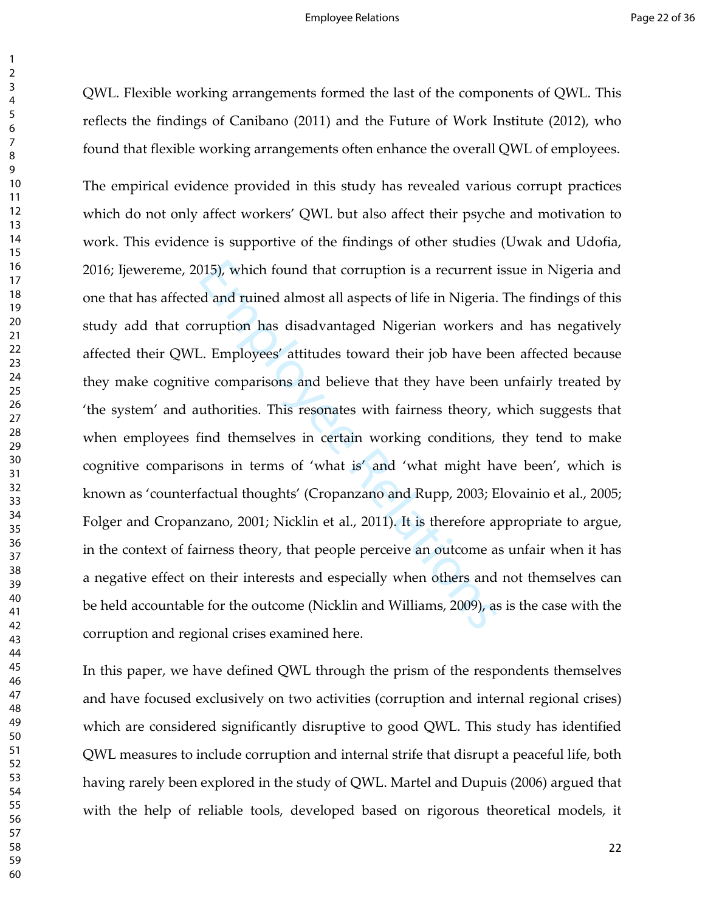QWL. Flexible working arrangements formed the last of the components of QWL. This reflects the findings of Canibano (2011) and the Future of Work Institute (2012), who found that flexible working arrangements often enhance the overall QWL of employees.

115), which found that corruption is a recurrent if d and ruined almost all aspects of life in Nigeria.<br>
rruption has disadvantaged Nigerian workers<br>
.. Employees' attitudes toward their job have been<br>
vere comparisons and The empirical evidence provided in this study has revealed various corrupt practices which do not only affect workers' QWL but also affect their psyche and motivation to work. This evidence is supportive of the findings of other studies (Uwak and Udofia, 2016; Ijewereme, 2015), which found that corruption is a recurrent issue in Nigeria and one that has affected and ruined almost all aspects of life in Nigeria. The findings of this study add that corruption has disadvantaged Nigerian workers and has negatively affected their QWL. Employees' attitudes toward their job have been affected because they make cognitive comparisons and believe that they have been unfairly treated by 'the system' and authorities. This resonates with fairness theory, which suggests that when employees find themselves in certain working conditions, they tend to make cognitive comparisons in terms of 'what is' and 'what might have been', which is known as 'counterfactual thoughts' (Cropanzano and Rupp, 2003; Elovainio et al., 2005; Folger and Cropanzano, 2001; Nicklin et al., 2011). It is therefore appropriate to argue, in the context of fairness theory, that people perceive an outcome as unfair when it has a negative effect on their interests and especially when others and not themselves can be held accountable for the outcome (Nicklin and Williams, 2009), as is the case with the corruption and regional crises examined here.

In this paper, we have defined QWL through the prism of the respondents themselves and have focused exclusively on two activities (corruption and internal regional crises) which are considered significantly disruptive to good QWL. This study has identified QWL measures to include corruption and internal strife that disrupt a peaceful life, both having rarely been explored in the study of QWL. Martel and Dupuis (2006) argued that with the help of reliable tools, developed based on rigorous theoretical models, it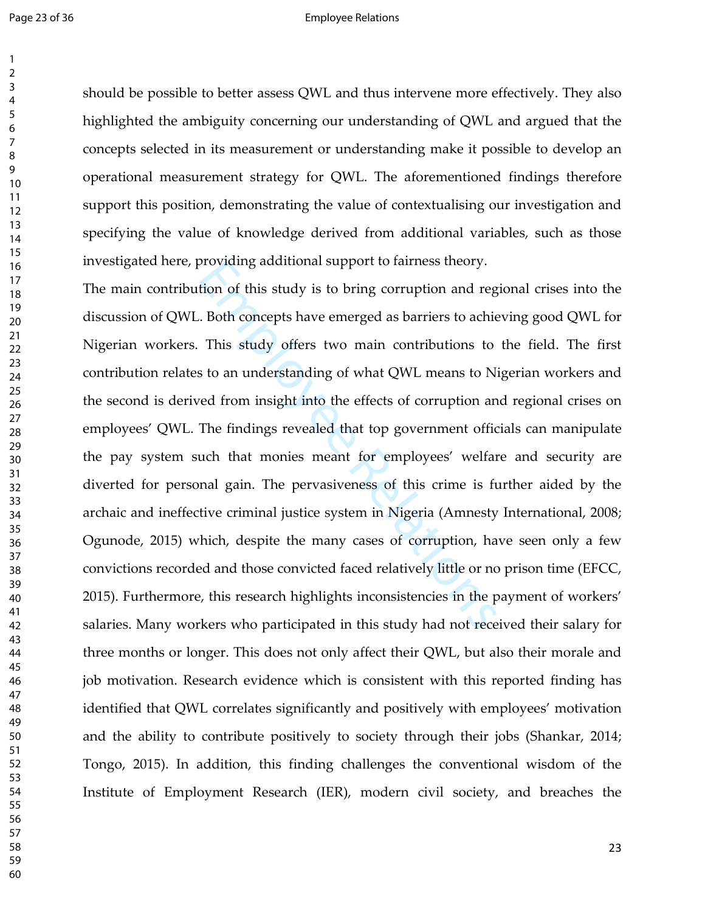#### Page 23 of 36 **Employee Relations**

should be possible to better assess QWL and thus intervene more effectively. They also highlighted the ambiguity concerning our understanding of QWL and argued that the concepts selected in its measurement or understanding make it possible to develop an operational measurement strategy for QWL. The aforementioned findings therefore support this position, demonstrating the value of contextualising our investigation and specifying the value of knowledge derived from additional variables, such as those investigated here, providing additional support to fairness theory.

broviang additional support to raimess theory.<br>
tion of this study is to bring corruption and reg.<br>
Both concepts have emerged as barriers to achiest This study offers two main contributions to<br>
sto an understanding of wha The main contribution of this study is to bring corruption and regional crises into the discussion of QWL. Both concepts have emerged as barriers to achieving good QWL for Nigerian workers. This study offers two main contributions to the field. The first contribution relates to an understanding of what QWL means to Nigerian workers and the second is derived from insight into the effects of corruption and regional crises on employees' QWL. The findings revealed that top government officials can manipulate the pay system such that monies meant for employees' welfare and security are diverted for personal gain. The pervasiveness of this crime is further aided by the archaic and ineffective criminal justice system in Nigeria (Amnesty International, 2008; Ogunode, 2015) which, despite the many cases of corruption, have seen only a few convictions recorded and those convicted faced relatively little or no prison time (EFCC, 2015). Furthermore, this research highlights inconsistencies in the payment of workers' salaries. Many workers who participated in this study had not received their salary for three months or longer. This does not only affect their QWL, but also their morale and job motivation. Research evidence which is consistent with this reported finding has identified that QWL correlates significantly and positively with employees' motivation and the ability to contribute positively to society through their jobs (Shankar, 2014; Tongo, 2015). In addition, this finding challenges the conventional wisdom of the Institute of Employment Research (IER), modern civil society, and breaches the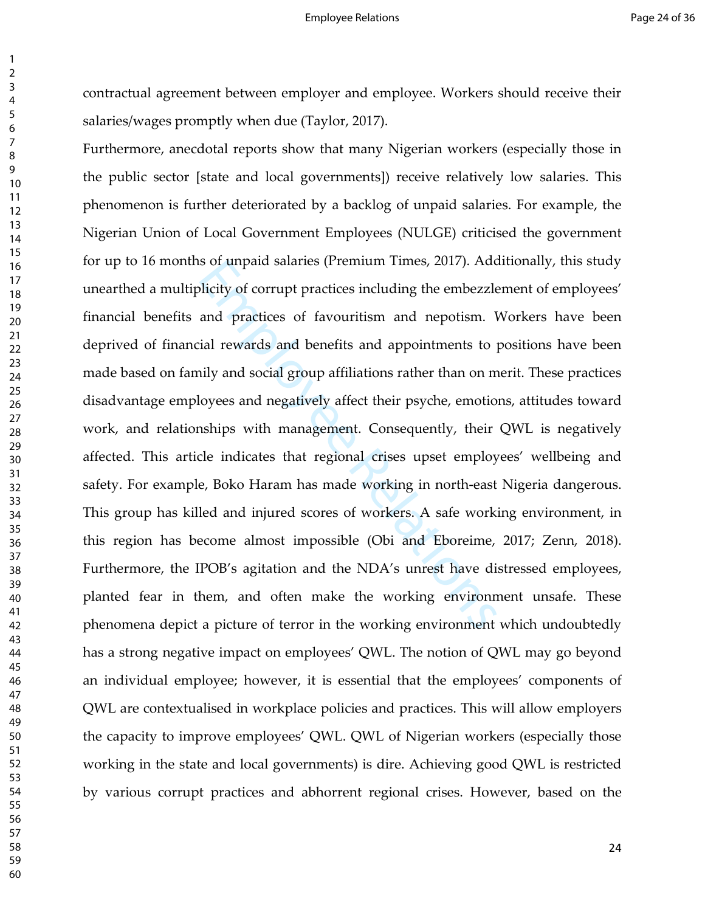contractual agreement between employer and employee. Workers should receive their salaries/wages promptly when due (Taylor, 2017).

Sor unpaid salaries (Fremium Times, 2017). Addicity of corrupt practices including the embezzle<br>and practices of favouritism and nepotism. I<br>ial rewards and benefits and appointments to j<br>iily and social group affiliations Furthermore, anecdotal reports show that many Nigerian workers (especially those in the public sector [state and local governments]) receive relatively low salaries. This phenomenon is further deteriorated by a backlog of unpaid salaries. For example, the Nigerian Union of Local Government Employees (NULGE) criticised the government for up to 16 months of unpaid salaries (Premium Times, 2017). Additionally, this study unearthed a multiplicity of corrupt practices including the embezzlement of employees' financial benefits and practices of favouritism and nepotism. Workers have been deprived of financial rewards and benefits and appointments to positions have been made based on family and social group affiliations rather than on merit. These practices disadvantage employees and negatively affect their psyche, emotions, attitudes toward work, and relationships with management. Consequently, their QWL is negatively affected. This article indicates that regional crises upset employees' wellbeing and safety. For example, Boko Haram has made working in north-east Nigeria dangerous. This group has killed and injured scores of workers. A safe working environment, in this region has become almost impossible (Obi and Eboreime, 2017; Zenn, 2018). Furthermore, the IPOB's agitation and the NDA's unrest have distressed employees, planted fear in them, and often make the working environment unsafe. These phenomena depict a picture of terror in the working environment which undoubtedly has a strong negative impact on employees' QWL. The notion of QWL may go beyond an individual employee; however, it is essential that the employees' components of QWL are contextualised in workplace policies and practices. This will allow employers the capacity to improve employees' QWL. QWL of Nigerian workers (especially those working in the state and local governments) is dire. Achieving good QWL is restricted by various corrupt practices and abhorrent regional crises. However, based on the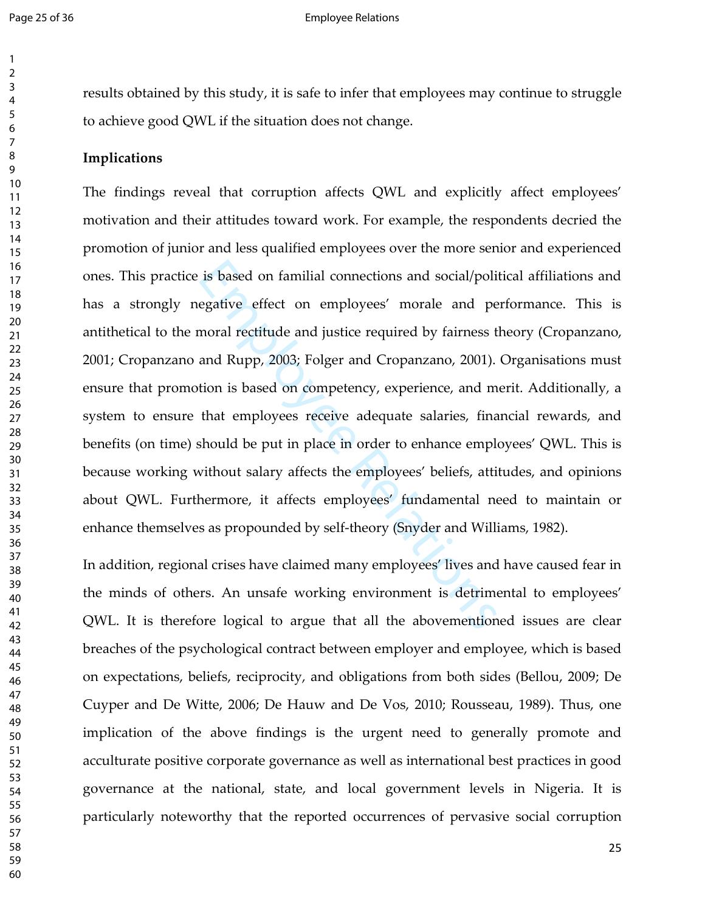### Page 25 of 36 **Employee Relations**

results obtained by this study, it is safe to infer that employees may continue to struggle to achieve good QWL if the situation does not change.

## **Implications**

is based on familial connections and social/poli<br>egative effect on employees' morale and pe<br>moral rectitude and justice required by fairness t<br>and Rupp, 2003; Folger and Cropanzano, 2001).<br>tion is based on competency, expe The findings reveal that corruption affects QWL and explicitly affect employees' motivation and their attitudes toward work. For example, the respondents decried the promotion of junior and less qualified employees over the more senior and experienced ones. This practice is based on familial connections and social/political affiliations and has a strongly negative effect on employees' morale and performance. This is antithetical to the moral rectitude and justice required by fairness theory (Cropanzano, 2001; Cropanzano and Rupp, 2003; Folger and Cropanzano, 2001). Organisations must ensure that promotion is based on competency, experience, and merit. Additionally, a system to ensure that employees receive adequate salaries, financial rewards, and benefits (on time) should be put in place in order to enhance employees' QWL. This is because working without salary affects the employees' beliefs, attitudes, and opinions about QWL. Furthermore, it affects employees' fundamental need to maintain or enhance themselves as propounded by self-theory (Snyder and Williams, 1982).

In addition, regional crises have claimed many employees' lives and have caused fear in the minds of others. An unsafe working environment is detrimental to employees' QWL. It is therefore logical to argue that all the abovementioned issues are clear breaches of the psychological contract between employer and employee, which is based on expectations, beliefs, reciprocity, and obligations from both sides (Bellou, 2009; De Cuyper and De Witte, 2006; De Hauw and De Vos, 2010; Rousseau, 1989). Thus, one implication of the above findings is the urgent need to generally promote and acculturate positive corporate governance as well as international best practices in good governance at the national, state, and local government levels in Nigeria. It is particularly noteworthy that the reported occurrences of pervasive social corruption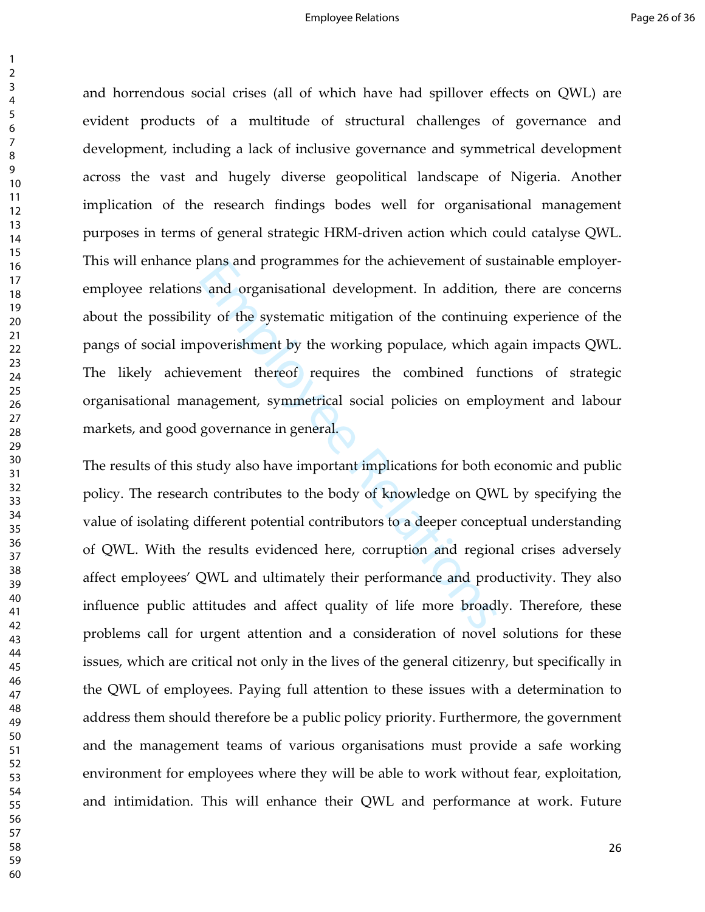### Employee Relations **Page 26 of 36**

between the achievement of surface and organisational development. In addition, ty of the systematic mitigation of the continuin poverishment by the working populace, which a vement thereof requires the combined fundagemen and horrendous social crises (all of which have had spillover effects on QWL) are evident products of a multitude of structural challenges of governance and development, including a lack of inclusive governance and symmetrical development across the vast and hugely diverse geopolitical landscape of Nigeria. Another implication of the research findings bodes well for organisational management purposes in terms of general strategic HRM-driven action which could catalyse QWL. This will enhance plans and programmes for the achievement of sustainable employeremployee relations and organisational development. In addition, there are concerns about the possibility of the systematic mitigation of the continuing experience of the pangs of social impoverishment by the working populace, which again impacts QWL. The likely achievement thereof requires the combined functions of strategic organisational management, symmetrical social policies on employment and labour markets, and good governance in general.

The results of this study also have important implications for both economic and public policy. The research contributes to the body of knowledge on QWL by specifying the value of isolating different potential contributors to a deeper conceptual understanding of QWL. With the results evidenced here, corruption and regional crises adversely affect employees' QWL and ultimately their performance and productivity. They also influence public attitudes and affect quality of life more broadly. Therefore, these problems call for urgent attention and a consideration of novel solutions for these issues, which are critical not only in the lives of the general citizenry, but specifically in the QWL of employees. Paying full attention to these issues with a determination to address them should therefore be a public policy priority. Furthermore, the government and the management teams of various organisations must provide a safe working environment for employees where they will be able to work without fear, exploitation, and intimidation. This will enhance their QWL and performance at work. Future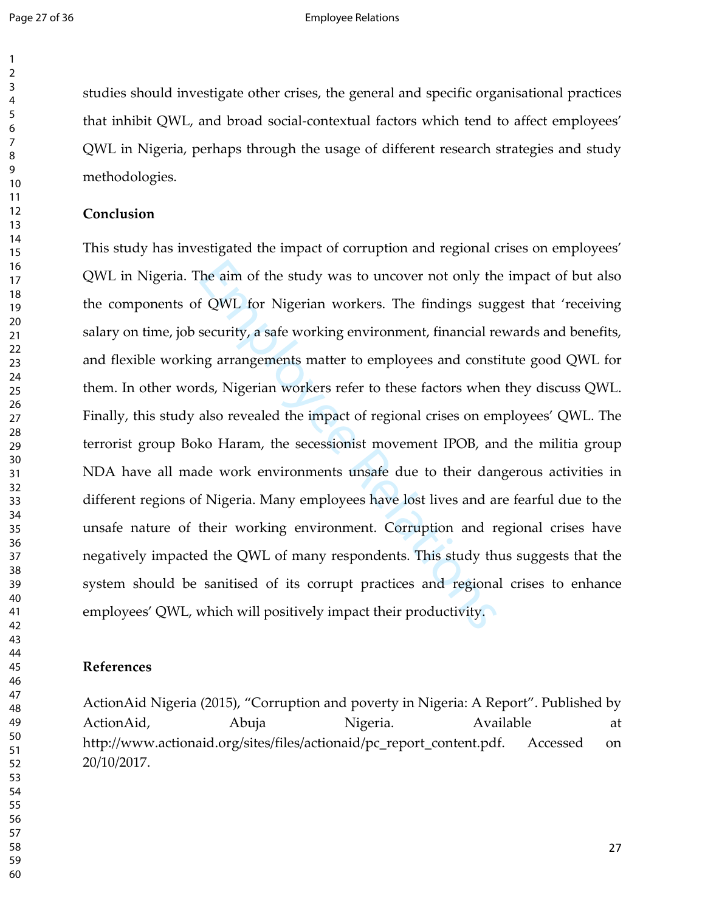$\overline{2}$ 

### Page 27 of 36 **Employee Relations**

studies should investigate other crises, the general and specific organisational practices that inhibit QWL, and broad social-contextual factors which tend to affect employees' QWL in Nigeria, perhaps through the usage of different research strategies and study methodologies.

## **Conclusion**

The aim of the study was to uncover not only the<br>
Equal of CML for Nigerian workers. The findings sug<br>
security, a safe working environment, financial re<br>
ng arrangements matter to employees and const<br>
ds, Nigerian workers This study has investigated the impact of corruption and regional crises on employees' QWL in Nigeria. The aim of the study was to uncover not only the impact of but also the components of QWL for Nigerian workers. The findings suggest that 'receiving salary on time, job security, a safe working environment, financial rewards and benefits, and flexible working arrangements matter to employees and constitute good QWL for them. In other words, Nigerian workers refer to these factors when they discuss QWL. Finally, this study also revealed the impact of regional crises on employees' QWL. The terrorist group Boko Haram, the secessionist movement IPOB, and the militia group NDA have all made work environments unsafe due to their dangerous activities in different regions of Nigeria. Many employees have lost lives and are fearful due to the unsafe nature of their working environment. Corruption and regional crises have negatively impacted the QWL of many respondents. This study thus suggests that the system should be sanitised of its corrupt practices and regional crises to enhance employees' QWL, which will positively impact their productivity.

## **References**

ActionAid Nigeria (2015), "Corruption and poverty in Nigeria: A Report". Published by ActionAid, Abuja Nigeria. Available at http://www.actionaid.org/sites/files/actionaid/pc\_report\_content.pdf. Accessed on 20/10/2017.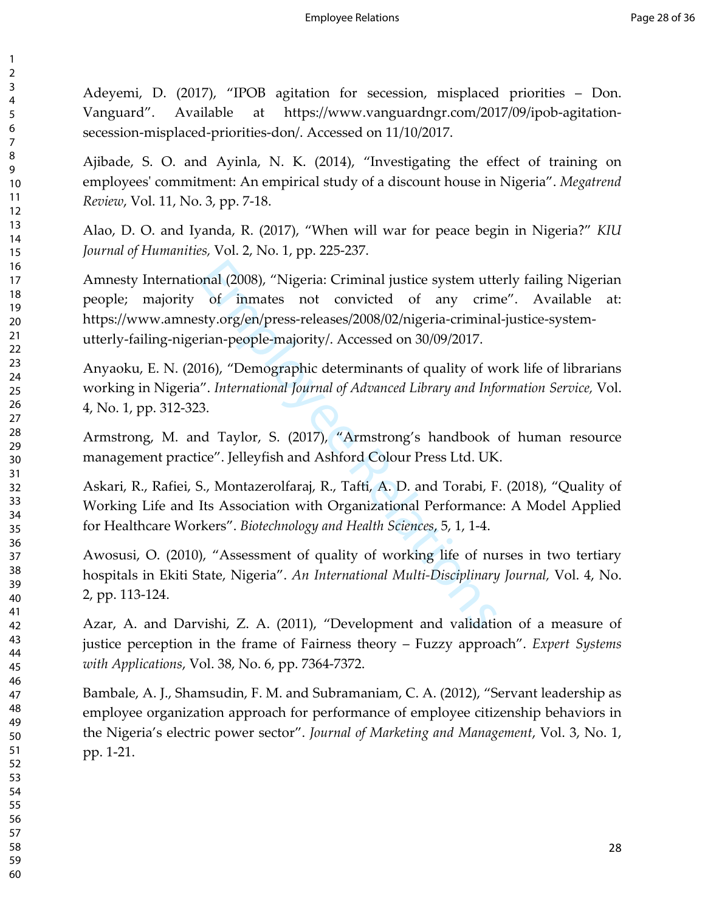Adeyemi, D. (2017), "IPOB agitation for secession, misplaced priorities – Don.<br>Vanguard". Available at https://www.vanguardngr.com/2017/09/ipob-agitationsecession-misplaced-priorities-don/. Accessed on 11/10/2017.

Ajibade, S. O. and Ayinla, N. K. (2014), "Investigating the effect of training on employees' commitment: An empirical study of a discount house in Nigeria". *Megatrend Review*, Vol. 11, No. 3, pp. 7-18.

Alao, D. O. and Iyanda, R. (2017), "When will war for peace begin in Nigeria?" *KIU Journal of Humanities,* Vol. 2, No. 1, pp. 225-237.

onal (2008), "Nigeria: Criminal justice system uttured of inmates not convicted of any crimsty.org/en/press-releases/2008/02/nigeria-criminal rian-people-majority/. Accessed on 30/09/2017.<br>
116), "Demographic determinants Amnesty International (2008), "Nigeria: Criminal justice system utterly failing Nigerian people; majority of inmates not convicted of any crime". Available at: https://www.amnesty.org/en/press-releases/2008/02/nigeria-criminal-justice-systemutterly-failing-nigerian-people-majority/. Accessed on 30/09/2017.

Anyaoku, E. N. (2016), "Demographic determinants of quality of work life of librarians working in Nigeria". *International Journal of Advanced Library and Information Service,* Vol. 4, No. 1, pp. 312-323.

Armstrong, M. and Taylor, S. (2017), "Armstrong's handbook of human resource management practice". Jelleyfish and Ashford Colour Press Ltd. UK.

Askari, R., Rafiei, S., Montazerolfaraj, R., Tafti, A. D. and Torabi, F. (2018), "Quality of Working Life and Its Association with Organizational Performance: A Model Applied for Healthcare Workers". *Biotechnology and Health Sciences*, 5, 1, 1-4.

Awosusi, O. (2010), "Assessment of quality of working life of nurses in two tertiary hospitals in Ekiti State, Nigeria". *An International Multi-Disciplinary Journal,* Vol. 4, No. 2, pp. 113-124.

Azar, A. and Darvishi, Z. A. (2011), "Development and validation of a measure of justice perception in the frame of Fairness theory – Fuzzy approach". *Expert Systems with Applications*, Vol. 38, No. 6, pp. 7364-7372.

Bambale, A. J., Shamsudin, F. M. and Subramaniam, C. A. (2012), "Servant leadership as employee organization approach for performance of employee citizenship behaviors in the Nigeria's electric power sector". *Journal of Marketing and Management*, Vol. 3, No. 1, pp. 1-21.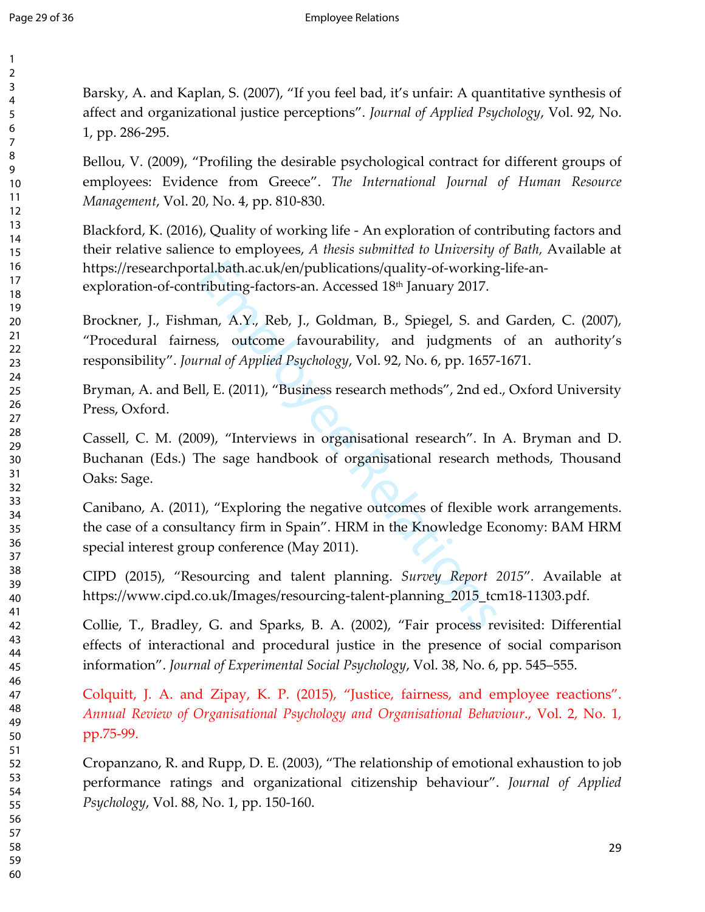Barsky, A. and Kaplan, S. (2007), "If you feel bad, it's unfair: A quantitative synthesis of affect and organizational justice perceptions". *Journal of Applied Psychology*, Vol. 92, No. 1, pp. 286-295.

Bellou, V. (2009), "Profiling the desirable psychological contract for different groups of employees: Evidence from Greece". *The International Journal of Human Resource Management*, Vol. 20, No. 4, pp. 810-830.

Blackford, K. (2016), Quality of working life - An exploration of contributing factors and their relative salience to employees, *A thesis submitted to University of Bath,* Available at https://researchportal.bath.ac.uk/en/publications/quality-of-working-life-anexploration-of-contributing-factors-an. Accessed 18<sup>th</sup> January 2017.

tal.bath.ac.uk/en/publications/quality-of-working<br>ributing-factors-an. Accessed 18<sup>th</sup> January 2017.<br>han, A.Y., Reb, J., Goldman, B., Spiegel, S. and<br>ess, outcome favourability, and judgments<br>rnal of Applied Psychology, Vo Brockner, J., Fishman, A.Y., Reb, J., Goldman, B., Spiegel, S. and Garden, C. (2007), <br>"Procedural fairness, outcome favourability, and judgments of an authority's responsibility". *Journal of Applied Psychology*, Vol. 92, No. 6, pp. 1657-1671.

Bryman, A. and Bell, E. (2011), "Business research methods", 2nd ed., Oxford University Press, Oxford.

Cassell, C. M. (2009), "Interviews in organisational research". In A. Bryman and D. Buchanan (Eds.) The sage handbook of organisational research methods, Thousand Oaks: Sage.

Canibano, A. (2011), "Exploring the negative outcomes of flexible work arrangements. the case of a consultancy firm in Spain". HRM in the Knowledge Economy: BAM HRM special interest group conference (May 2011).

CIPD (2015), "Resourcing and talent planning. *Survey Report 2015* "*.* Available at https://www.cipd.co.uk/Images/resourcing-talent-planning\_2015\_tcm18-11303.pdf.

Collie, T., Bradley, G. and Sparks, B. A. (2002), "Fair process revisited: Differential effects of interactional and procedural justice in the presence of social comparison information". *Journal of Experimental Social Psychology*, Vol. 38, No. 6, pp. 545–555.

Colquitt, J. A. and Zipay, K. P. (2015), "Justice, f airness, and employee reactions". *Annual Review of Organisational Psychology and Organisational Behaviour*., Vol. 2, No. 1, pp.75-99.

Cropanzano, R. and Rupp, D. E. (2003), "The relationship of emotional exhaustion to job performance ratings and organizational citizenship behaviour". *Journal of Applied Psychology*, Vol. 88, No. 1, pp. 150-160.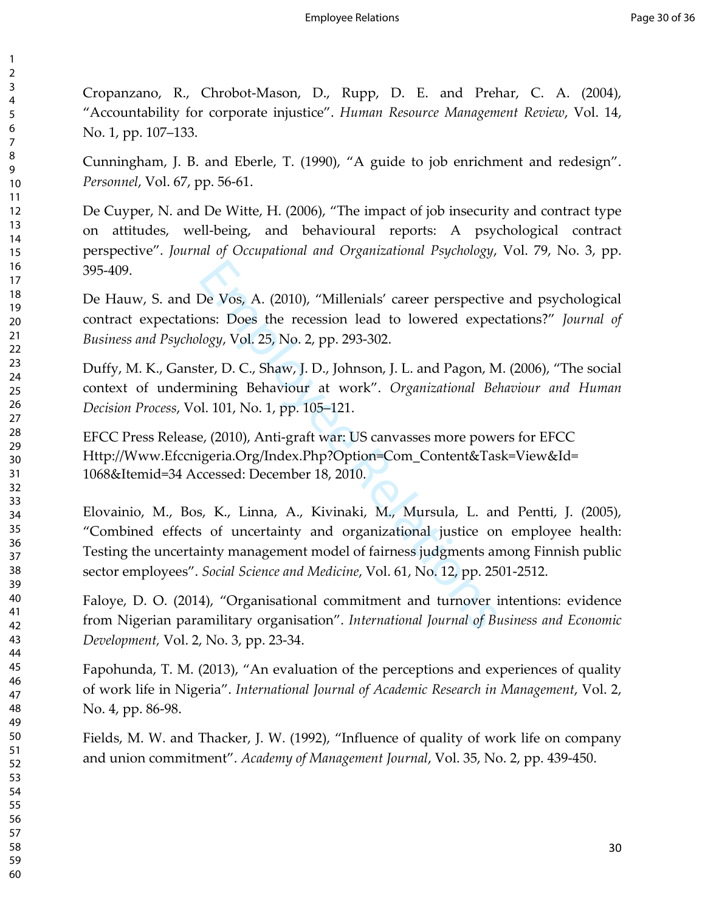Cropanzano, R., Chrobot-Mason, D., Rupp, D. E. and Prehar, C. A. (2004), "Accountability for corporate injustice". *Human Resource Management Review*, Vol. 14, No. 1, pp. 107–133.

Cunningham, J. B. and Eberle, T. (1990), "A guide to job enrichment and redesign". *Personnel*, Vol. 67, pp. 56-61.

De Cuyper, N. and De Witte, H. (2006), "The impact of job insecurity and contract type on attitudes, well-being, and behavioural reports: A psychological contract perspective". *Journal of Occupational and Organizational Psychology*, Vol. 79, No. 3, pp. 395-409.

De Hauw, S. and De Vos, A. (2010), "Millenials' career perspective and psychological contract expectations: Does the recession lead to lowered expectations?" *Journal of Business and Psychology*, Vol. 25, No. 2, pp. 293-302.

Duffy, M. K., Ganster, D. C., Shaw, J. D., Johnson, J. L. and Pagon, M. (2006), "The social context of undermining Behaviour at work". *Organizational Behaviour and Human Decision Process*, Vol. 101, No. 1, pp. 105–121.

EFCC Press Release, (2010), Anti-graft war: US canvasses more powers for EFCC Http://Www.Efccnigeria.Org/Index.Php?Option=Com\_Content&Task=View&Id= 1068&Itemid=34 Accessed: December 18, 2010.

De Vos, A. (2010), "Millenials' career perspective<br>
nos: Does the recession lead to lowered expective<br>
logy, Vol. 25, No. 2, pp. 293-302.<br>
ter, D. C., Shaw, J. D., Johnson, J. L. and Pagon, N<br>
nining Behaviour at work". Or Elovainio, M., Bos, K., Linna, A., Kivinaki, M., Mursula, L. and Pentti, J. (2005), "Combined effects of uncertainty and organizational justice on employee health: Testing the uncertainty management model of fairness judgments among Finnish public sector employees". *Social Science and Medicine*, Vol. 61, No. 12, pp. 2501-2512.

Faloye, D. O. (2014), "Organisational commitment and turnover intentions: evidence from Nigerian paramilitary organisation". *International Journal of Business and Economic Development,* Vol. 2, No. 3, pp. 23-34.

Fapohunda, T. M. (2013), "An evaluation of the perceptions and experiences of quality of work life in Nigeria". *International Journal of Academic Research in Management*, Vol. 2, No. 4, pp. 86-98.

Fields, M. W. and Thacker, J. W. (1992), "Influence of quality of work life on company and union commitment". *Academy of Management Journal*, Vol. 35, No. 2, pp. 439-450.

 $\mathbf{1}$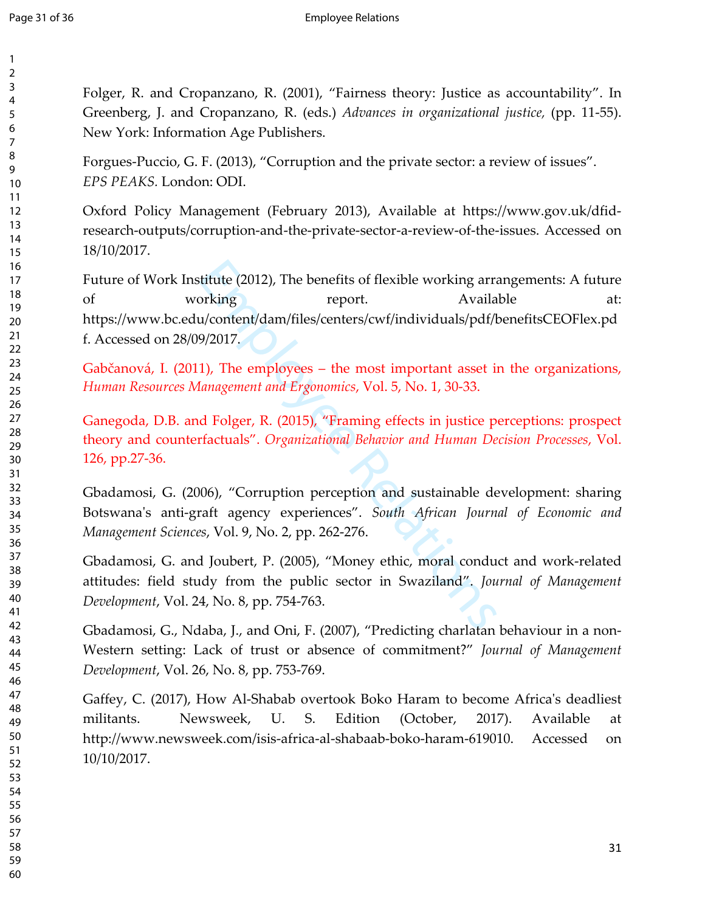| 1                                  |  |
|------------------------------------|--|
| $\overline{c}$                     |  |
| 3<br>4                             |  |
| 5                                  |  |
| 6                                  |  |
| 7<br>8                             |  |
| 9                                  |  |
| $\overline{10}$                    |  |
| $\overline{11}$<br>$\overline{12}$ |  |
| 13                                 |  |
| $\overline{14}$                    |  |
| 15<br>16                           |  |
| $\overline{17}$                    |  |
| 18<br>19                           |  |
|                                    |  |
| 20<br>21                           |  |
| .<br>22<br>23                      |  |
| 24                                 |  |
| $\overline{25}$                    |  |
| -<br>26<br>27                      |  |
| 28                                 |  |
| 29<br>30                           |  |
| 31                                 |  |
| 32<br>33                           |  |
| 34                                 |  |
| 35                                 |  |
| 36<br>37                           |  |
| 38                                 |  |
| 39<br>40                           |  |
| 41                                 |  |
| 42                                 |  |
| 43<br>44                           |  |
| 45                                 |  |
| 46<br>47                           |  |
| 48                                 |  |
| 49                                 |  |
| 50                                 |  |
| 51<br>52                           |  |
| 53<br>54                           |  |
| 55                                 |  |
| 56                                 |  |
| 57<br>58                           |  |
|                                    |  |

Folger, R. and Cropanzano, R. (2001), "Fairness theory: Justice as accountability". In Greenberg, J. and Cropanzano, R. (eds.) *Advances in organizational justice,* (pp. 11-55). New York: Information Age Publishers.

Forgues-Puccio, G. F. (2013), "Corruption and the private sector: a review of issues". *EPS PEAKS.* London: ODI.

Oxford Policy Management (February 2013), Available at https://www.gov.uk/dfidresearch-outputs/corruption-and-the-private-sector-a-review-of-the-issues. Accessed on 18/10/2017.

titute (2012), The benefits of flexible working arranching<br>report. Availa<br>a/content/dam/files/centers/cwf/individuals/pdf/t<br>9/2017.<br>1), The employees – the most important asset in<br>anagement and Ergonomics, Vol. 5, No. 1, 3 Future of Work Institute (2012), The benefits of flexible working arrangements: A future of working report. Available at: https://www.bc.edu/content/dam/files/centers/cwf/individuals/pdf/benefitsCEOFlex.pd f. Accessed on 28/09/2017.

Gabčanová, I. (2011), The employees – the most important asset in the organizations, *Human Resources Management and Ergonomics*, Vol. 5, No. 1, 30-33.

Ganegoda, D.B. and Folger, R. (2015), "Framing effects in justice perceptions: prospect theory and counterfactuals". *Organizational Behavior and Human Decision Processes*, Vol. 126, pp.27-36.

Gbadamosi, G. (2006), "Corruption perception and sustainable development: sharing Botswana's anti-graft agency experiences". *South African Journal of Economic and Management Sciences*, Vol. 9, No. 2, pp. 262-276.

Gbadamosi, G. and Joubert, P. (2005), "Money ethic, moral conduct and work-related attitudes: field study from the public sector in Swaziland". *Journal of Management Development*, Vol. 24, No. 8, pp. 754-763.

Gbadamosi, G., Ndaba, J., and Oni, F. (2007), "Predicting charlatan behaviour in a non-Western setting: Lack of trust or absence of commitment?" *Journal of Management Development* , Vol. 26, No. 8, pp. 753-769.

Gaffey, C. (2017), How Al-Shabab overtook Boko Haram to become Africa's deadliest militants. Newsweek, U. S. Edition (October, 2017). Available at http://www.newsweek.com/isis-africa-al-shabaab-boko-haram-619010. Accessed on 10/10/2017.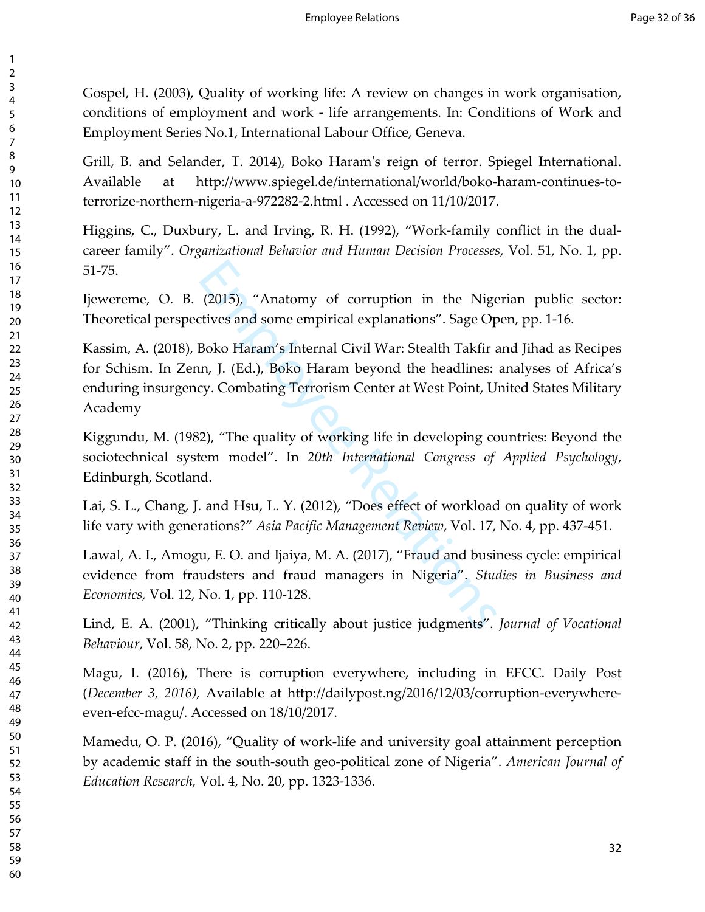Gospel, H. (2003), Quality of working life: A review on changes in work organisation, conditions of employment and work - life arrangements. In: Conditions of Work and Employment Series No.1, International Labour Office, Geneva.

Grill, B. and Selander, T. 2014), Boko Haram's reign of terror. Spiegel International. Available at http://www.spiegel.de/international/world/boko-haram-continues-toterrorize-northern-nigeria-a-972282-2.html . Accessed on 11/10/2017.

Higgins, C., Duxbury, L. and Irving, R. H. (1992), "Work-family conflict in the dualcareer family". *Organizational Behavior and Human Decision Processes*, Vol. 51, No. 1, pp. 51-75.

Ijewereme, O. B. (2015), "Anatomy of corruption in the Nigerian public sector: Theoretical perspectives and some empirical explanations". Sage Open, pp. 1-16.

(2015), "Anatomy of corruption in the Nigetives and some empirical explanations". Sage Op Boko Haram's Internal Civil War: Stealth Takfir an, J. (Ed.), Boko Haram beyond the headlines: ey. Combating Terrorism Center at We Kassim, A. (2018), Boko Haram's Internal Civil War: Stealth Takfir and Jihad as Recipes for Schism. In Zenn, J. (Ed.), Boko Haram beyond the headlines: analyses of Africa's enduring insurgency. Combating Terrorism Center at West Point, United States Military Academy

Kiggundu, M. (1982), "The quality of working life in developing countries: Beyond the sociotechnical system model". In *20th International Congress of Applied Psychology*, Edinburgh, Scotland.

Lai, S. L., Chang, J. and Hsu, L. Y. (2012), "Does effect of workload on quality of work life vary with generations?" *Asia Pacific Management Review*, Vol. 17, No. 4, pp. 437-451.

Lawal, A. I., Amogu, E. O. and Ijaiya, M. A. (2017), "Fraud and business cycle: empirical evidence from fraudsters and fraud managers in Nigeria". *Studies in Business and Economics,* Vol. 12, No. 1, pp. 110-128.

Lind, E. A. (2001), "Thinking critically about justice judgments". *Journal of Vocational Behaviour*, Vol. 58, No. 2, pp. 220–226.

Magu, I. (2016), There is corruption everywhere, including in EFCC. Daily Post (*December 3, 2016),* Available at http://dailypost.ng/2016/12/03/corruption-everywhereeven-efcc-magu/. Accessed on 18/10/2017.

Mamedu, O. P. (2016), "Quality of work-life and university goal attainment perception by academic staff in the south-south geo-political zone of Nigeria". *American Journal of Education Research,* Vol. 4, No. 20, pp. 1323-1336.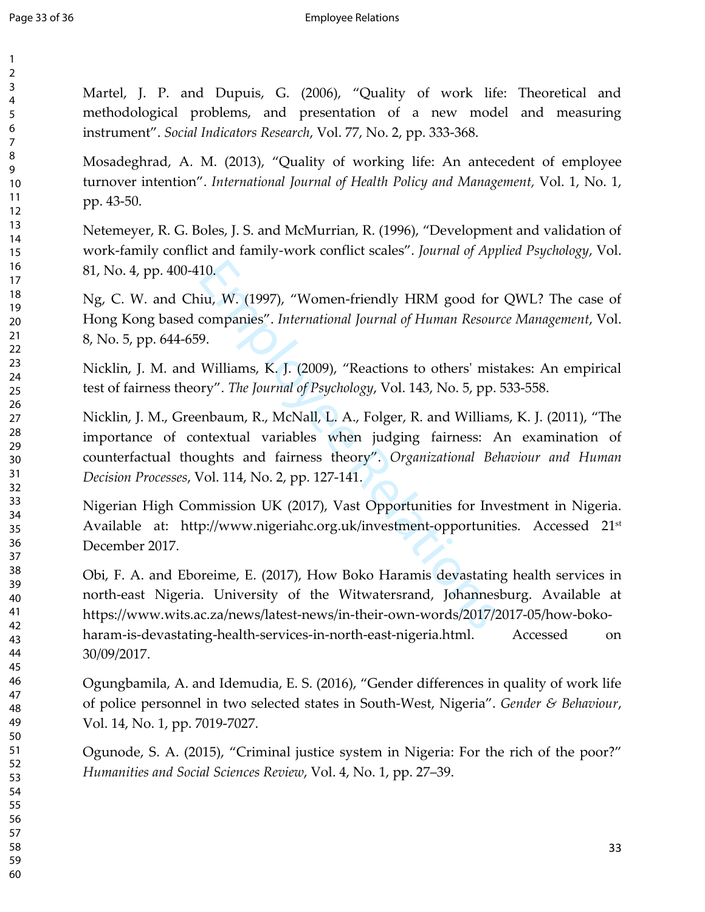### Page 33 of 36 **Employee Relations**

| 1       |  |
|---------|--|
| 2<br>3  |  |
|         |  |
|         |  |
|         |  |
|         |  |
|         |  |
|         |  |
|         |  |
|         |  |
|         |  |
|         |  |
|         |  |
|         |  |
|         |  |
|         |  |
|         |  |
|         |  |
|         |  |
|         |  |
|         |  |
|         |  |
|         |  |
|         |  |
|         |  |
|         |  |
|         |  |
|         |  |
|         |  |
|         |  |
|         |  |
|         |  |
|         |  |
|         |  |
|         |  |
|         |  |
|         |  |
|         |  |
|         |  |
|         |  |
| 38<br>3 |  |
| 39      |  |
| 40      |  |
| 41      |  |
| 4<br>)  |  |
| 43      |  |
| 44      |  |
|         |  |
| 45      |  |
| 46      |  |
| 47      |  |
| 48      |  |
| 49      |  |
| 50      |  |
| 51      |  |
| 5.<br>) |  |
| 53      |  |
| 54      |  |
|         |  |
| 55      |  |
| 56      |  |
| 5       |  |
| 58      |  |

  Martel, J. P. and Dupuis, G. (2006), "Quality of work life: Theoretical and methodological problems, and presentation of a new model and measuring instrument". *Social Indicators Research*, Vol. 77, No. 2, pp. 333-368.

Mosadeghrad, A. M. (2013), "Quality of working life: An antecedent of employee turnover intention". *International Journal of Health Policy and Management,* Vol. 1, No. 1, pp. 43-50.

Netemeyer, R. G. Boles, J. S. and McMurrian, R. (1996), "Development and validation of work-family conflict and family-work conflict scales". *Journal of Applied Psychology*, Vol. 81, No. 4, pp. 400-410.

Ng, C. W. and Chiu, W. (1997), "Women-friendly HRM good for QWL? The case of Hong Kong based companies". *International Journal of Human Resource Management*, Vol. 8, No. 5, pp. 644-659.

Nicklin, J. M. and Williams, K. J. (2009), "Reactions to others' mistakes: An empirical test of fairness theory". *The Journal of Psychology*, Vol. 143, No. 5, pp. 533-558.

10.<br>
iu, W. (1997), "Women-friendly HRM good for<br>
companies". International Journal of Human Resour<br>
9.<br>
Williams, K. J. (2009), "Reactions to others' mis<br>
rry". The Journal of Psychology, Vol. 143, No. 5, pp.<br>
rnbaum, R., Nicklin, J. M., Greenbaum, R., McNall, L. A., Folger, R. and Williams, K. J. (2011), "The importance of contextual variables when judging fairness: An examination of counterfactual thoughts and fairness theory". *Organizational Behaviour and Human Decision Processes*, Vol. 114, No. 2, pp. 127-141.

Nigerian High Commission UK (2017), Vast Opportunities for Investment in Nigeria. Available at: http://www.nigeriahc.org.uk/investment-opportunities. Accessed 21st December 2017.

Obi, F. A. and Eboreime, E. (2017), How Boko Haramis devastating health services in north-east Nigeria. University of the Witwatersrand, Johannesburg. Available at https://www.wits.ac.za/news/latest-news/in-their-own-words/2017/2017-05/how-bokoharam-is-devastating-health-services-in-north-east-nigeria.html. Accessed on 30/09/2017.

Ogungbamila, A. and Idemudia, E. S. (2016), "Gender differences in quality of work life of police personnel in two selected states in South-West, Nigeria". *Gender & Behaviour*, Vol. 14, No. 1, pp. 7019-7027.

Ogunode, S. A. (2015), "Criminal justice system in Nigeria: For the rich of the poor?" *Humanities and Social Sciences Review*, Vol. 4, No. 1, pp. 27–39.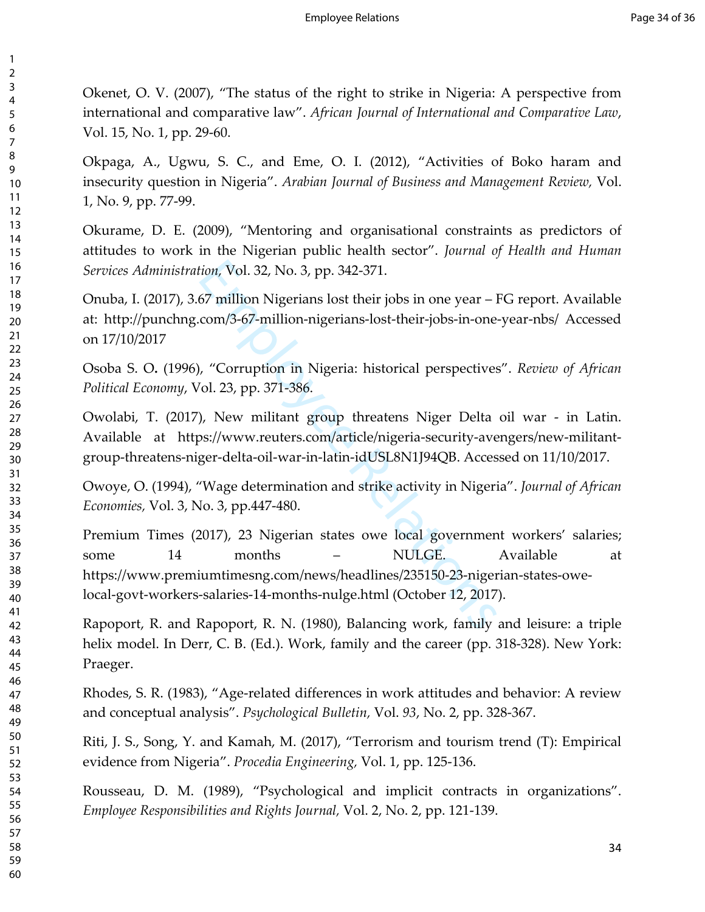Okenet, O. V. (2007), "The status of the right to strike in Nigeria: A perspective from international and comparative law". *African Journal of International and Comparative Law*, Vol. 15, No. 1, pp. 29-60.

Okpaga, A., Ugwu, S. C., and Eme, O. I. (2012), "Activities of Boko haram and insecurity question in Nigeria". *Arabian Journal of Business and Management Review,* Vol. 1, No. 9, pp. 77-99.

Okurame, D. E. (2009), "Mentoring and organisational constraints as predictors of attitudes to work in the Nigerian public health sector". *Journal of Health and Human Services Administration,* Vol. 32, No. 3, pp. 342-371.

Onuba, I. (2017), 3.67 million Nigerians lost their jobs in one year – FG report. Available at: http://punchng.com/3-67-million-nigerians-lost-their-jobs-in-one-year-nbs/ Accessed on 17/10/2017

Osoba S. O **.** (1996), "Corruption in Nigeria: historical perspectives". *Review of African Political Economy*, Vol. 23, pp. 371-386.

Owolabi, T. (2017), New militant group threatens Niger Delta oil war - in Latin. Available at https://www.reuters.com/article/nigeria-security-avengers/new-militantgroup-threatens-niger-delta-oil-war-in-latin-idUSL8N1J94QB. Accessed on 11/10/2017.

Owoye, O. (1994), "Wage determination and strike activity in Nigeria". *Journal of African Economies,* Vol. 3, No. 3, pp.447-480.

ion, Vol. 32, No. 3, pp. 342-371.<br>
67 million Nigerians lost their jobs in one year – 1<br>
com/3-67-million-nigerians-lost-their-jobs-in-one<br>
, "Corruption in Nigeria: historical perspectives<br>
ol. 23, pp. 371-386.<br>
), New mi Premium Times (2017), 23 Nigerian states owe local government workers' salaries; some 14 months – NULGE. Available at https://www.premiumtimesng.com/news/headlines/235150-23-nigerian-states-owelocal-govt-workers-salaries-14-months-nulge.html (October 12, 2017).

Rapoport, R. and Rapoport, R. N. (1980), Balancing work, family and leisure: a triple helix model. In Derr, C. B. (Ed.). Work, family and the career (pp. 318-328). New York: Praeger.

Rhodes, S. R. (1983), "Age-related differences in work attitudes and behavior: A review and conceptual analysis". *Psychological Bulletin,* Vol. *93*, No. 2, pp. 328-367.

Riti, J. S., Song, Y. and Kamah, M. (2017), "Terrorism and tourism trend (T): Empirical evidence from Nigeria". *Procedia Engineering,* Vol. 1, pp. 125-136.

Rousseau, D. M. (1989), "Psychological and implicit contracts in organizations". *Employee Responsibilities and Rights Journal,* Vol. 2, No. 2, pp. 121-139.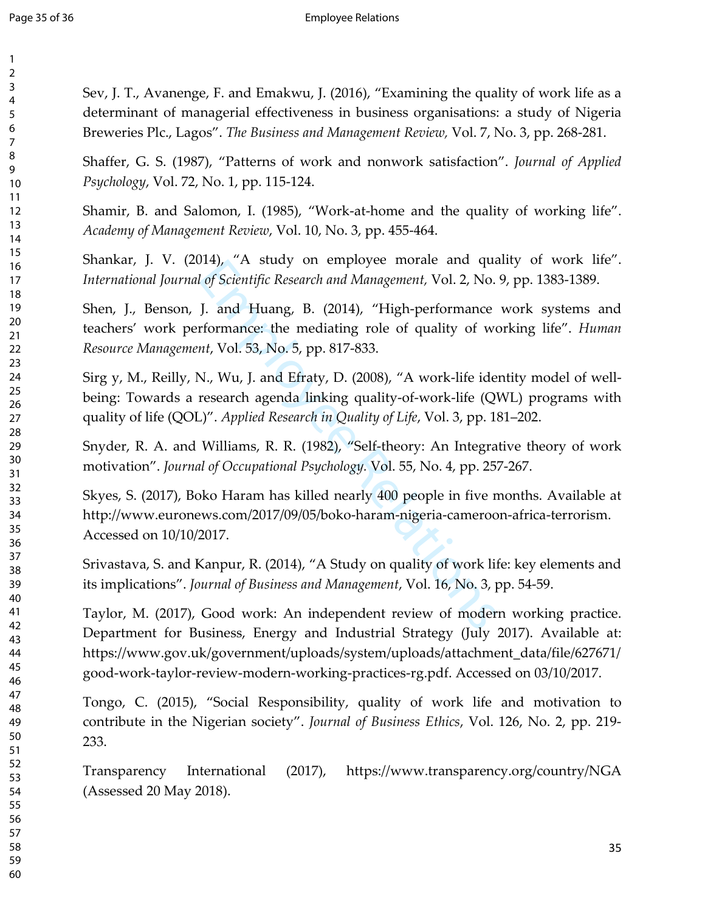Sev, J. T., Avanenge, F. and Emakwu, J. (2016), "Examining the quality of work life as a determinant of managerial effectiveness in business organisations: a study of Nigeria Breweries Plc., Lagos". *The Business and Management Review,* Vol. 7, No. 3, pp. 268-281. Shaffer, G. S. (1987), "Patterns of work and nonwork satisfaction". *Journal of Applied Psychology*, Vol. 72, No. 1, pp. 115-124. Shamir, B. and Salomon, I. (1985), "Work-at-home and the quality of working life". *Academy of Management Review*, Vol. 10, No. 3, pp. 455-464. Shankar, J. V. (2014), "A study on employee morale and quality of work life". *International Journal of Scientific Research and Management,* Vol. 2, No. 9, pp. 1383-1389.

Shen, J., Benson, J. and Huang, B. (2014), "High-performance work systems and teachers' work performance: the mediating role of quality of working life". *Human Resource Management*, Vol. 53, No. 5, pp. 817-833.

Sirg y, M., Reilly, N., Wu, J. and Efraty, D. (2008), "A work-life identity model of wellbeing: Towards a research agenda linking quality-of-work-life (QWL) programs with quality of life (QOL)". *Applied Research in Quality of Life*, Vol. 3, pp. 181–202.

Snyder, R. A. and Williams, R. R. (1982), "Self-theory: An Integrative theory of work motivation". *Journal of Occupational Psychology.* Vol. 55, No. 4, pp. 257-267.

14), A study on employee morale and quality of Scientific Research and Management, Vol. 2, No.<br>
J. and Huang, B. (2014), "High-performance fromance: the mediating role of quality of we *mt*, Vol. 53, No. 5, pp. 817-833.<br> Skyes, S. (2017), Boko Haram has killed nearly 400 people in five months. Available at http://www.euronews.com/2017/09/05/boko-haram-nigeria-cameroon-africa-terrorism. Accessed on 10/10/2017.

Srivastava, S. and Kanpur, R. (2014), "A Study on quality of work life: key elements and its implications". *Journal of Business and Management*, Vol. 16, No. 3, pp. 54-59.

Taylor, M. (2017), Good work: An independent review of modern working practice. Department for Business, Energy and Industrial Strategy (July 2017). Available at: https://www.gov.uk/government/uploads/system/uploads/attachment\_data/file/627671/ good-work-taylor-review-modern-working-practices-rg.pdf. Accessed on 03/10/2017.

Tongo, C. (2015), "Social Responsibility, quality of work life and motivation to contribute in the Nigerian society". *Journal of Business Ethics*, Vol. 126, No. 2, pp. 219- 233.

Transparency International (2017), https://www.transparency.org/country/NGA (Assessed 20 May 2018).